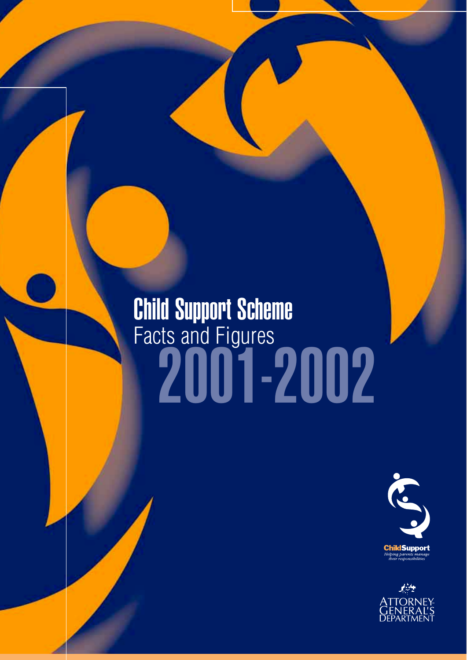## 2001-2002 Child Support Scheme Facts and Figures



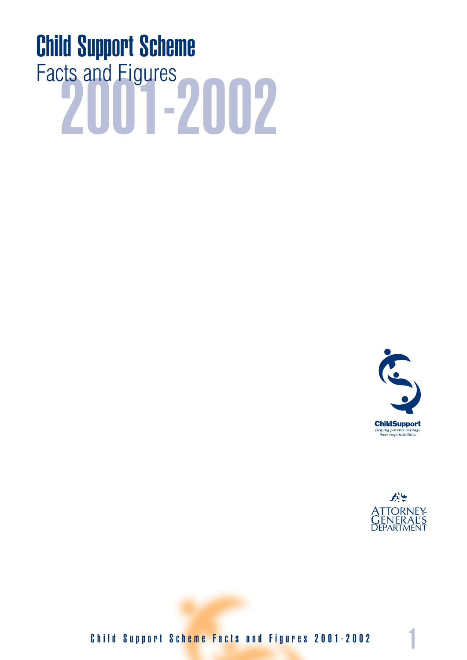# Facts and Figures<br>2001 - 2002 Child Support Scheme



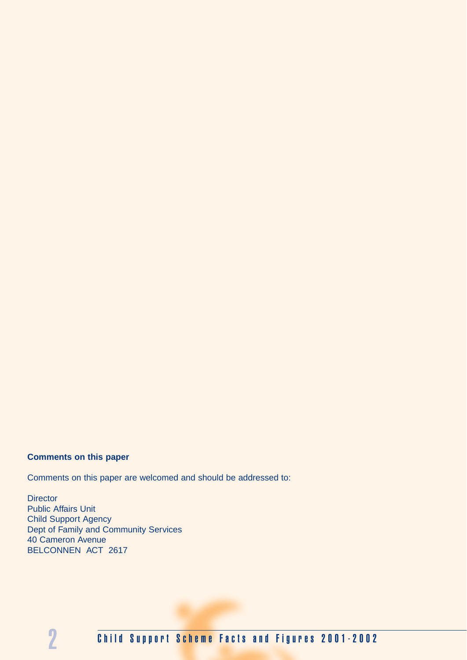#### **Comments on this paper**

Comments on this paper are welcomed and should be addressed to:

**Director** Public Affairs Unit Child Support Agency Dept of Family and Community Services 40 Cameron Avenue BELCONNEN ACT 2617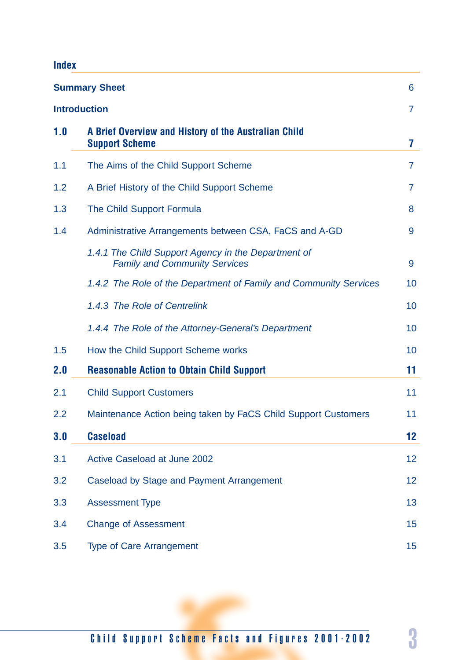#### **Index**

|                     | <b>Summary Sheet</b>                                                                        | 6  |
|---------------------|---------------------------------------------------------------------------------------------|----|
| <b>Introduction</b> |                                                                                             | 7  |
| 1.0                 | A Brief Overview and History of the Australian Child<br><b>Support Scheme</b>               | 7  |
| 1.1                 | The Aims of the Child Support Scheme                                                        | 7  |
| 1.2                 | A Brief History of the Child Support Scheme                                                 | 7  |
| 1.3                 | The Child Support Formula                                                                   | 8  |
| 1.4                 | Administrative Arrangements between CSA, FaCS and A-GD                                      | 9  |
|                     | 1.4.1 The Child Support Agency in the Department of<br><b>Family and Community Services</b> | 9  |
|                     | 1.4.2 The Role of the Department of Family and Community Services                           | 10 |
|                     | 1.4.3 The Role of Centrelink                                                                | 10 |
|                     | 1.4.4 The Role of the Attorney-General's Department                                         | 10 |
| 1.5                 | How the Child Support Scheme works                                                          | 10 |
| 2.0                 | <b>Reasonable Action to Obtain Child Support</b>                                            | 11 |
| 2.1                 | <b>Child Support Customers</b>                                                              | 11 |
| 2.2                 | Maintenance Action being taken by FaCS Child Support Customers                              | 11 |
| 3.0                 | <b>Caseload</b>                                                                             | 12 |
| 3.1                 | <b>Active Caseload at June 2002</b>                                                         | 12 |
| 3.2                 | Caseload by Stage and Payment Arrangement                                                   | 12 |
| 3.3                 | <b>Assessment Type</b>                                                                      | 13 |
| 3.4                 | <b>Change of Assessment</b>                                                                 | 15 |
| 3.5                 | <b>Type of Care Arrangement</b>                                                             | 15 |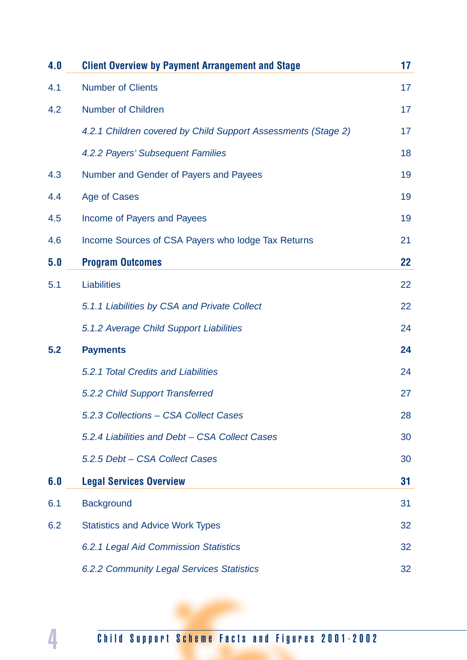| 4.0 | <b>Client Overview by Payment Arrangement and Stage</b>       | 17 |
|-----|---------------------------------------------------------------|----|
| 4.1 | <b>Number of Clients</b>                                      | 17 |
| 4.2 | <b>Number of Children</b>                                     | 17 |
|     | 4.2.1 Children covered by Child Support Assessments (Stage 2) | 17 |
|     | 4.2.2 Payers' Subsequent Families                             | 18 |
| 4.3 | Number and Gender of Payers and Payees                        | 19 |
| 4.4 | Age of Cases                                                  | 19 |
| 4.5 | Income of Payers and Payees                                   | 19 |
| 4.6 | Income Sources of CSA Payers who lodge Tax Returns            | 21 |
| 5.0 | <b>Program Outcomes</b>                                       | 22 |
| 5.1 | <b>Liabilities</b>                                            | 22 |
|     | 5.1.1 Liabilities by CSA and Private Collect                  | 22 |
|     | 5.1.2 Average Child Support Liabilities                       | 24 |
| 5.2 | <b>Payments</b>                                               | 24 |
|     | 5.2.1 Total Credits and Liabilities                           | 24 |
|     | 5.2.2 Child Support Transferred                               | 27 |
|     | 5.2.3 Collections - CSA Collect Cases                         | 28 |
|     | 5.2.4 Liabilities and Debt - CSA Collect Cases                | 30 |
|     | 5.2.5 Debt - CSA Collect Cases                                | 30 |
| 6.0 | <b>Legal Services Overview</b>                                | 31 |
| 6.1 | <b>Background</b>                                             | 31 |
| 6.2 | <b>Statistics and Advice Work Types</b>                       | 32 |
|     | 6.2.1 Legal Aid Commission Statistics                         | 32 |
|     | 6.2.2 Community Legal Services Statistics                     | 32 |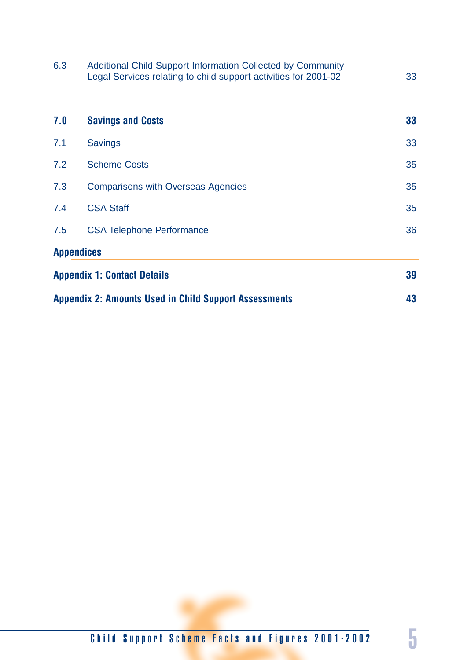|     | <b>Appendix 2: Amounts Used in Child Support Assessments</b>                                                                          | 43 |
|-----|---------------------------------------------------------------------------------------------------------------------------------------|----|
|     | <b>Appendix 1: Contact Details</b>                                                                                                    | 39 |
|     | <b>Appendices</b>                                                                                                                     |    |
| 7.5 | <b>CSA Telephone Performance</b>                                                                                                      | 36 |
| 7.4 | <b>CSA Staff</b>                                                                                                                      | 35 |
| 7.3 | <b>Comparisons with Overseas Agencies</b>                                                                                             | 35 |
| 7.2 | <b>Scheme Costs</b>                                                                                                                   | 35 |
| 7.1 | <b>Savings</b>                                                                                                                        | 33 |
| 7.0 | <b>Savings and Costs</b>                                                                                                              | 33 |
| 6.3 | <b>Additional Child Support Information Collected by Community</b><br>Legal Services relating to child support activities for 2001-02 | 33 |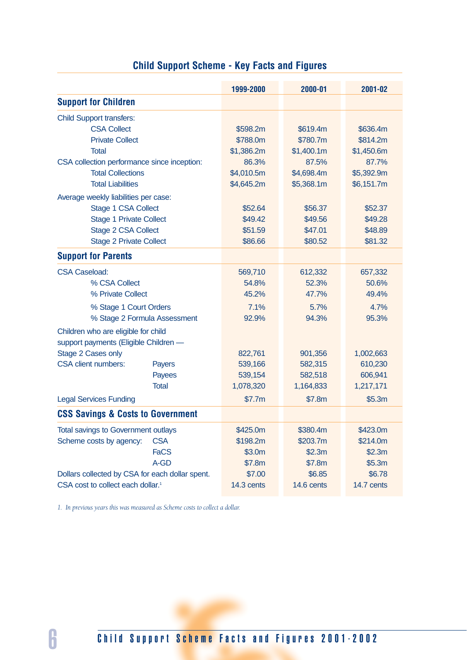|                                                       | 1999-2000  | 2000-01    | 2001-02    |
|-------------------------------------------------------|------------|------------|------------|
| <b>Support for Children</b>                           |            |            |            |
|                                                       |            |            |            |
| <b>Child Support transfers:</b><br><b>CSA Collect</b> | \$598.2m   | \$619.4m   | \$636.4m   |
| <b>Private Collect</b>                                | \$788.0m   | \$780.7m   | \$814.2m   |
| Total                                                 | \$1,386.2m | \$1,400.1m | \$1,450.6m |
| CSA collection performance since inception:           | 86.3%      | 87.5%      | 87.7%      |
| <b>Total Collections</b>                              | \$4,010.5m | \$4,698.4m | \$5,392.9m |
| <b>Total Liabilities</b>                              | \$4,645.2m | \$5,368.1m | \$6,151.7m |
|                                                       |            |            |            |
| Average weekly liabilities per case:                  |            |            |            |
| Stage 1 CSA Collect                                   | \$52.64    | \$56.37    | \$52.37    |
| <b>Stage 1 Private Collect</b>                        | \$49.42    | \$49.56    | \$49.28    |
| <b>Stage 2 CSA Collect</b>                            | \$51.59    | \$47.01    | \$48.89    |
| <b>Stage 2 Private Collect</b>                        | \$86.66    | \$80.52    | \$81.32    |
| <b>Support for Parents</b>                            |            |            |            |
| <b>CSA Caseload:</b>                                  | 569,710    | 612,332    | 657,332    |
| % CSA Collect                                         | 54.8%      | 52.3%      | 50.6%      |
| % Private Collect                                     | 45.2%      | 47.7%      | 49.4%      |
| % Stage 1 Court Orders                                | 7.1%       | 5.7%       | 4.7%       |
| % Stage 2 Formula Assessment                          | 92.9%      | 94.3%      | 95.3%      |
| Children who are eligible for child                   |            |            |            |
| support payments (Eligible Children -                 |            |            |            |
| Stage 2 Cases only                                    | 822,761    | 901,356    | 1,002,663  |
| <b>CSA client numbers:</b><br><b>Payers</b>           | 539,166    | 582,315    | 610,230    |
| Payees                                                | 539,154    | 582,518    | 606,941    |
| <b>Total</b>                                          | 1,078,320  | 1,164,833  | 1,217,171  |
| <b>Legal Services Funding</b>                         | \$7.7m     | \$7.8m     | \$5.3m     |
| <b>CSS Savings &amp; Costs to Government</b>          |            |            |            |
| <b>Total savings to Government outlays</b>            | \$425.0m   | \$380.4m   | \$423.0m   |
| Scheme costs by agency:<br><b>CSA</b>                 | \$198.2m   | \$203.7m   | \$214.0m   |
| <b>FaCS</b>                                           | \$3.0m     | \$2.3m     | \$2.3m     |
| A-GD                                                  | \$7.8m     | \$7.8m     | \$5.3m     |
| Dollars collected by CSA for each dollar spent.       | \$7.00     | \$6.85     | \$6.78     |
| CSA cost to collect each dollar. <sup>1</sup>         | 14.3 cents | 14.6 cents | 14.7 cents |
|                                                       |            |            |            |

#### **Child Support Scheme - Key Facts and Figures**

*1. In previous years this was measured as Scheme costs to collect a dollar.*

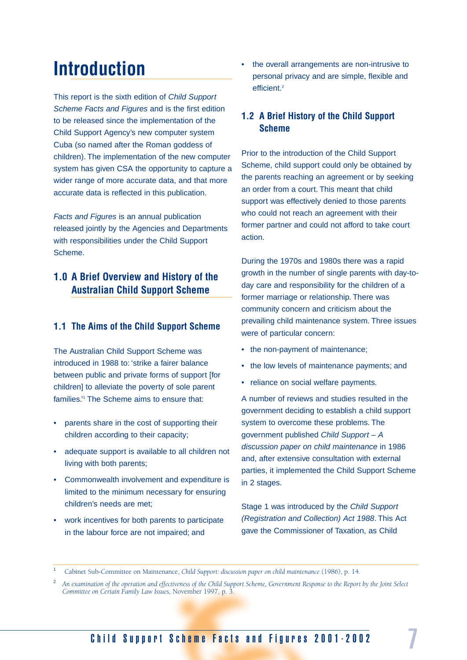## **Introduction**

This report is the sixth edition of Child Support Scheme Facts and Figures and is the first edition to be released since the implementation of the Child Support Agency's new computer system Cuba (so named after the Roman goddess of children). The implementation of the new computer system has given CSA the opportunity to capture a wider range of more accurate data, and that more accurate data is reflected in this publication.

Facts and Figures is an annual publication released jointly by the Agencies and Departments with responsibilities under the Child Support Scheme.

#### **1.0 A Brief Overview and History of the Australian Child Support Scheme**

#### **1.1 The Aims of the Child Support Scheme**

The Australian Child Support Scheme was introduced in 1988 to: 'strike a fairer balance between public and private forms of support [for children] to alleviate the poverty of sole parent families.<sup>'1</sup> The Scheme aims to ensure that:

- parents share in the cost of supporting their children according to their capacity;
- adequate support is available to all children not living with both parents;
- Commonwealth involvement and expenditure is limited to the minimum necessary for ensuring children's needs are met;
- work incentives for both parents to participate in the labour force are not impaired; and

• the overall arrangements are non-intrusive to personal privacy and are simple, flexible and efficient.<sup>2</sup>

#### **1.2 A Brief History of the Child Support Scheme**

Prior to the introduction of the Child Support Scheme, child support could only be obtained by the parents reaching an agreement or by seeking an order from a court. This meant that child support was effectively denied to those parents who could not reach an agreement with their former partner and could not afford to take court action.

During the 1970s and 1980s there was a rapid growth in the number of single parents with day-today care and responsibility for the children of a former marriage or relationship. There was community concern and criticism about the prevailing child maintenance system. Three issues were of particular concern:

- the non-payment of maintenance;
- the low levels of maintenance payments; and
- reliance on social welfare payments.

A number of reviews and studies resulted in the government deciding to establish a child support system to overcome these problems. The government published Child Support – A discussion paper on child maintenance in 1986 and, after extensive consultation with external parties, it implemented the Child Support Scheme in 2 stages.

Stage 1 was introduced by the Child Support (Registration and Collection) Act 1988. This Act gave the Commissioner of Taxation, as Child

<sup>1</sup> Cabinet Sub-Committee on Maintenance, *Child Support: discussion paper on child maintenance* (1986), p. 14.

<sup>&</sup>lt;sup>2</sup> An examination of the operation and effectiveness of the Child Support Scheme, Government Response to the Report by the Joint Select *Committee on Certain Family Law Issues,* November 1997, p. 3.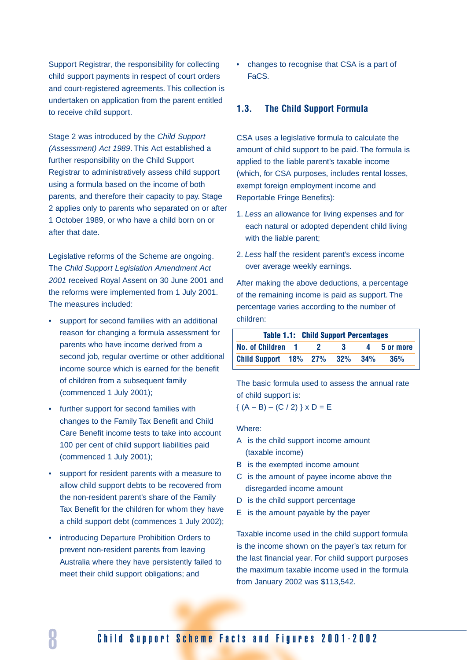Support Registrar, the responsibility for collecting child support payments in respect of court orders and court-registered agreements. This collection is undertaken on application from the parent entitled to receive child support.

Stage 2 was introduced by the Child Support (Assessment) Act 1989. This Act established a further responsibility on the Child Support Registrar to administratively assess child support using a formula based on the income of both parents, and therefore their capacity to pay. Stage 2 applies only to parents who separated on or after 1 October 1989, or who have a child born on or after that date.

Legislative reforms of the Scheme are ongoing. The Child Support Legislation Amendment Act 2001 received Royal Assent on 30 June 2001 and the reforms were implemented from 1 July 2001. The measures included:

- support for second families with an additional reason for changing a formula assessment for parents who have income derived from a second job, regular overtime or other additional income source which is earned for the benefit of children from a subsequent family (commenced 1 July 2001);
- further support for second families with changes to the Family Tax Benefit and Child Care Benefit income tests to take into account 100 per cent of child support liabilities paid (commenced 1 July 2001);
- support for resident parents with a measure to allow child support debts to be recovered from the non-resident parent's share of the Family Tax Benefit for the children for whom they have a child support debt (commences 1 July 2002);
- introducing Departure Prohibition Orders to prevent non-resident parents from leaving Australia where they have persistently failed to meet their child support obligations; and

• changes to recognise that CSA is a part of FaCS.

#### **1.3. The Child Support Formula**

CSA uses a legislative formula to calculate the amount of child support to be paid. The formula is applied to the liable parent's taxable income (which, for CSA purposes, includes rental losses, exempt foreign employment income and Reportable Fringe Benefits):

- 1. Less an allowance for living expenses and for each natural or adopted dependent child living with the liable parent;
- 2. Less half the resident parent's excess income over average weekly earnings.

After making the above deductions, a percentage of the remaining income is paid as support. The percentage varies according to the number of children:

| <b>Table 1.1: Child Support Percentages</b> |  |  |    |     |             |  |
|---------------------------------------------|--|--|----|-----|-------------|--|
| No. of Children 1                           |  |  | -3 |     | 4 5 or more |  |
| Child Support 18% 27% 32%                   |  |  |    | 34% | 36%         |  |

The basic formula used to assess the annual rate of child support is:

 $\{ (A - B) - (C / 2) \} \times D = E$ 

#### Where:

- A is the child support income amount (taxable income)
- B is the exempted income amount
- C is the amount of payee income above the disregarded income amount
- D is the child support percentage
- E is the amount payable by the payer

Taxable income used in the child support formula is the income shown on the payer's tax return for the last financial year. For child support purposes the maximum taxable income used in the formula from January 2002 was \$113,542.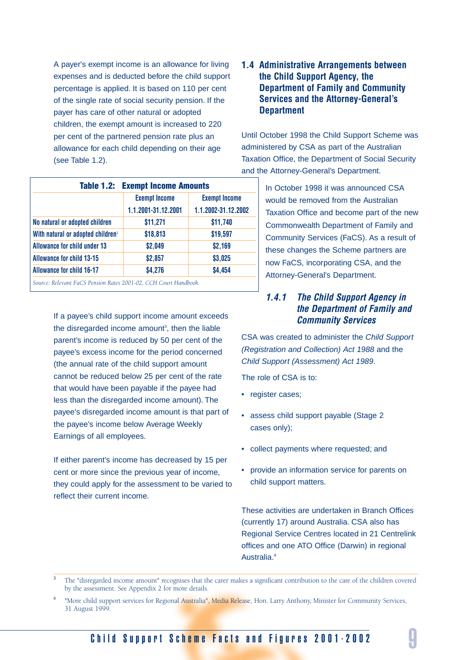A payer's exempt income is an allowance for living expenses and is deducted before the child support percentage is applied. It is based on 110 per cent of the single rate of social security pension. If the payer has care of other natural or adopted children, the exempt amount is increased to 220 per cent of the partnered pension rate plus an allowance for each child depending on their age (see Table 1.2).

| <b>Table 1.2: Exempt Income Amounts</b>       |                      |                      |  |  |  |  |  |
|-----------------------------------------------|----------------------|----------------------|--|--|--|--|--|
|                                               | <b>Exempt Income</b> | <b>Exempt Income</b> |  |  |  |  |  |
|                                               | 1.1.2001-31.12.2001  | 1.1.2002-31.12.2002  |  |  |  |  |  |
| No natural or adopted children                | \$11,271             | \$11,740             |  |  |  |  |  |
| With natural or adopted children <sup>1</sup> | \$18,813             | \$19,597             |  |  |  |  |  |
| <b>Allowance for child under 13</b>           | \$2,049              | \$2,169              |  |  |  |  |  |
| <b>Allowance for child 13-15</b>              | \$2,857              | \$3,025              |  |  |  |  |  |
| <b>Allowance for child 16-17</b>              | \$4,276              | \$4,454              |  |  |  |  |  |

If a payee's child support income amount exceeds the disregarded income amount<sup>3</sup>, then the liable parent's income is reduced by 50 per cent of the payee's excess income for the period concerned (the annual rate of the child support amount cannot be reduced below 25 per cent of the rate that would have been payable if the payee had less than the disregarded income amount). The payee's disregarded income amount is that part of the payee's income below Average Weekly Earnings of all employees.

If either parent's income has decreased by 15 per cent or more since the previous year of income, they could apply for the assessment to be varied to reflect their current income.

#### **1.4 Administrative Arrangements between the Child Support Agency, the Department of Family and Community Services and the Attorney-General's Department**

Until October 1998 the Child Support Scheme was administered by CSA as part of the Australian Taxation Office, the Department of Social Security and the Attorney-General's Department.

> In October 1998 it was announced CSA would be removed from the Australian Taxation Office and become part of the new Commonwealth Department of Family and Community Services (FaCS). As a result of these changes the Scheme partners are now FaCS, incorporating CSA, and the Attorney-General's Department.

#### *1.4.1 The Child Support Agency in the Department of Family and Community Services*

CSA was created to administer the Child Support (Registration and Collection) Act 1988 and the Child Support (Assessment) Act 1989.

The role of CSA is to:

- register cases;
- assess child support payable (Stage 2 cases only);
- collect payments where requested; and
- provide an information service for parents on child support matters.

These activities are undertaken in Branch Offices (currently 17) around Australia. CSA also has Regional Service Centres located in 21 Centrelink offices and one ATO Office (Darwin) in regional Australia.4

<sup>3</sup> The "disregarded income amount" recognises that the carer makes a significant contribution to the care of the children covered by the assessment. See Appendix 2 for more details.

<sup>&</sup>quot;More child support services for Regional Australia", Media Release, Hon. Larry Anthony, Minister for Community Services, 31 August 1999.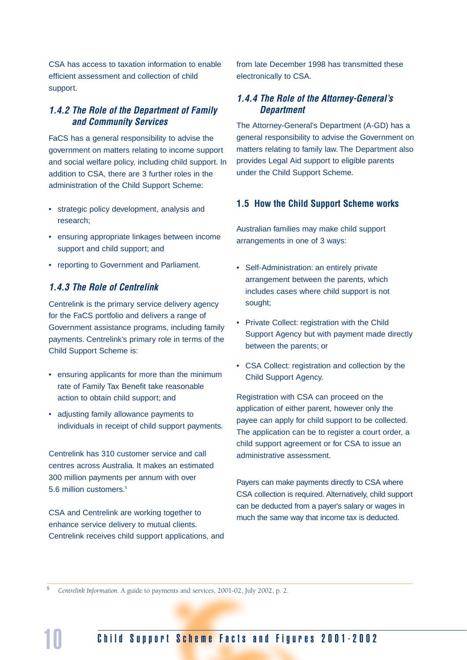CSA has access to taxation information to enable efficient assessment and collection of child support.

#### *1.4.2 The Role of the Department of Family and Community Services*

FaCS has a general responsibility to advise the government on matters relating to income support and social welfare policy, including child support. In addition to CSA, there are 3 further roles in the administration of the Child Support Scheme:

- strategic policy development, analysis and research;
- ensuring appropriate linkages between income support and child support; and
- reporting to Government and Parliament.

#### *1.4.3 The Role of Centrelink*

Centrelink is the primary service delivery agency for the FaCS portfolio and delivers a range of Government assistance programs, including family payments. Centrelink's primary role in terms of the Child Support Scheme is:

- ensuring applicants for more than the minimum rate of Family Tax Benefit take reasonable action to obtain child support; and
- adjusting family allowance payments to individuals in receipt of child support payments.

Centrelink has 310 customer service and call centres across Australia. It makes an estimated 300 million payments per annum with over 5.6 million customers.5

CSA and Centrelink are working together to enhance service delivery to mutual clients. Centrelink receives child support applications, and from late December 1998 has transmitted these electronically to CSA.

#### *1.4.4 The Role of the Attorney-General's Department*

The Attorney-General's Department (A-GD) has a general responsibility to advise the Government on matters relating to family law. The Department also provides Legal Aid support to eligible parents under the Child Support Scheme.

#### **1.5 How the Child Support Scheme works**

Australian families may make child support arrangements in one of 3 ways:

- Self-Administration: an entirely private arrangement between the parents, which includes cases where child support is not sought;
- Private Collect: registration with the Child Support Agency but with payment made directly between the parents; or
- CSA Collect: registration and collection by the Child Support Agency.

Registration with CSA can proceed on the application of either parent, however only the payee can apply for child support to be collected. The application can be to register a court order, a child support agreement or for CSA to issue an administrative assessment.

Payers can make payments directly to CSA where CSA collection is required. Alternatively, child support can be deducted from a payer's salary or wages in much the same way that income tax is deducted.

<sup>5</sup> *Centrelink Information.* A guide to payments and services, 2001-02, July 2002, p. 2.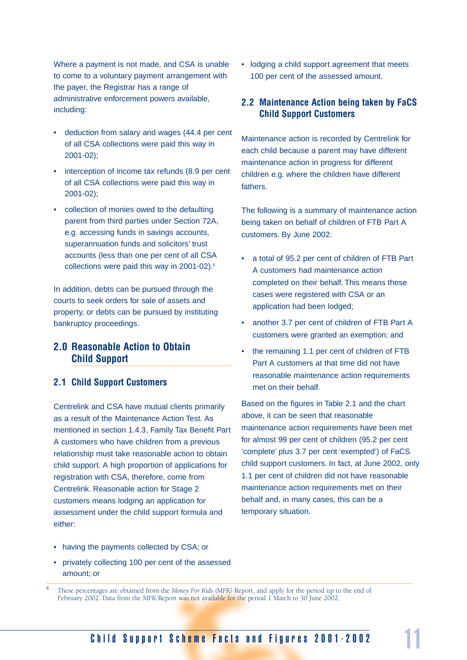Where a payment is not made, and CSA is unable to come to a voluntary payment arrangement with the payer, the Registrar has a range of administrative enforcement powers available, including:

- deduction from salary and wages (44.4 per cent of all CSA collections were paid this way in 2001-02);
- interception of income tax refunds (8.9 per cent of all CSA collections were paid this way in 2001-02);
- collection of monies owed to the defaulting parent from third parties under Section 72A, e.g. accessing funds in savings accounts, superannuation funds and solicitors' trust accounts (less than one per cent of all CSA collections were paid this way in 2001-02).6

In addition, debts can be pursued through the courts to seek orders for sale of assets and property, or debts can be pursued by instituting bankruptcy proceedings.

#### **2.0 Reasonable Action to Obtain Child Support**

#### **2.1 Child Support Customers**

Centrelink and CSA have mutual clients primarily as a result of the Maintenance Action Test. As mentioned in section 1.4.3, Family Tax Benefit Part A customers who have children from a previous relationship must take reasonable action to obtain child support. A high proportion of applications for registration with CSA, therefore, come from Centrelink. Reasonable action for Stage 2 customers means lodging an application for assessment under the child support formula and either:

- having the payments collected by CSA; or
- privately collecting 100 per cent of the assessed amount; or

• lodging a child support agreement that meets 100 per cent of the assessed amount.

#### **2.2 Maintenance Action being taken by FaCS Child Support Customers**

Maintenance action is recorded by Centrelink for each child because a parent may have different maintenance action in progress for different children e.g. where the children have different fathers.

The following is a summary of maintenance action being taken on behalf of children of FTB Part A customers. By June 2002:

- a total of 95.2 per cent of children of FTB Part A customers had maintenance action completed on their behalf. This means these cases were registered with CSA or an application had been lodged;
- another 3.7 per cent of children of FTB Part A customers were granted an exemption; and
- the remaining 1.1 per cent of children of FTB Part A customers at that time did not have reasonable maintenance action requirements met on their behalf.

Based on the figures in Table 2.1 and the chart above, it can be seen that reasonable maintenance action requirements have been met for almost 99 per cent of children (95.2 per cent 'complete' plus 3.7 per cent 'exempted') of FaCS child support customers. In fact, at June 2002, only 1.1 per cent of children did not have reasonable maintenance action requirements met on their behalf and, in many cases, this can be a temporary situation.

<sup>6</sup> These percentages are obtained from the *Money For Kids (MFK)* Report, and apply for the period up to the end of February 2002. Data from the *MFK* Report was not available for the period 1 March to 30 June 2002.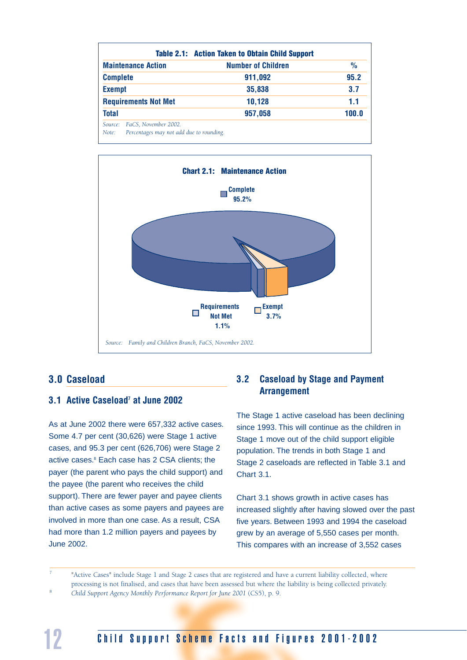|                                                                                      | <b>Table 2.1: Action Taken to Obtain Child Support</b> |               |
|--------------------------------------------------------------------------------------|--------------------------------------------------------|---------------|
| <b>Maintenance Action</b>                                                            | <b>Number of Children</b>                              | $\frac{0}{0}$ |
| <b>Complete</b>                                                                      | 911,092                                                | 95.2          |
| <b>Exempt</b>                                                                        | 35,838                                                 | 3.7           |
| <b>Requirements Not Met</b>                                                          | 10.128                                                 | 1.1           |
| Total                                                                                | 957,058                                                | 100.0         |
| FaCS, November 2002.<br>Source:<br>Percentages may not add due to rounding.<br>Note: |                                                        |               |



#### **3.0 Caseload**

#### **3.1 Active Caseload7 at June 2002**

As at June 2002 there were 657,332 active cases. Some 4.7 per cent (30,626) were Stage 1 active cases, and 95.3 per cent (626,706) were Stage 2 active cases.<sup>8</sup> Each case has 2 CSA clients; the payer (the parent who pays the child support) and the payee (the parent who receives the child support). There are fewer payer and payee clients than active cases as some payers and payees are involved in more than one case. As a result, CSA had more than 1.2 million payers and payees by June 2002.

#### **3.2 Caseload by Stage and Payment Arrangement**

The Stage 1 active caseload has been declining since 1993. This will continue as the children in Stage 1 move out of the child support eligible population. The trends in both Stage 1 and Stage 2 caseloads are reflected in Table 3.1 and Chart 3.1.

Chart 3.1 shows growth in active cases has increased slightly after having slowed over the past five years. Between 1993 and 1994 the caseload grew by an average of 5,550 cases per month. This compares with an increase of 3,552 cases

<sup>7</sup> "Active Cases" include Stage 1 and Stage 2 cases that are registered and have a current liability collected, where processing is not finalised, and cases that have been assessed but where the liability is being collected privately.

<sup>8</sup> *Child Support Agency Monthly Performance Report for June 2001* (CS5), p. 9.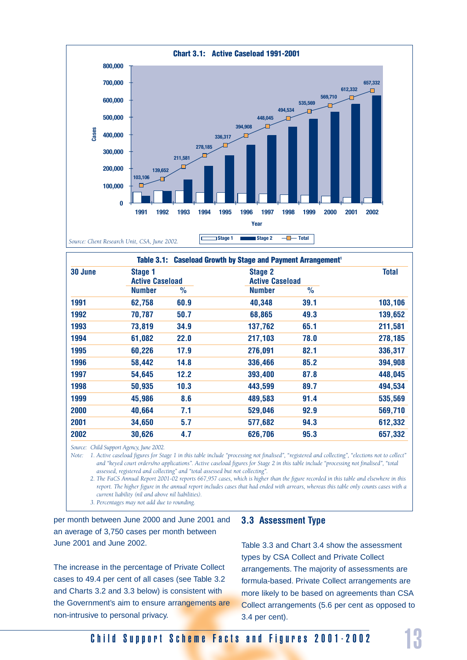

|         |                                   |      | Table 3.1: Caseload Growth by Stage and Payment Arrangement <sup>1</sup> |                        |         |  |
|---------|-----------------------------------|------|--------------------------------------------------------------------------|------------------------|---------|--|
| 30 June | Stage 1<br><b>Active Caseload</b> |      | Stage 2                                                                  | <b>Active Caseload</b> |         |  |
|         | <b>Number</b>                     | $\%$ | <b>Number</b>                                                            | $\frac{0}{0}$          |         |  |
| 1991    | 62,758                            | 60.9 | 40,348                                                                   | 39.1                   | 103,106 |  |
| 1992    | 70,787                            | 50.7 | 68,865                                                                   | 49.3                   | 139,652 |  |
| 1993    | 73,819                            | 34.9 | 137,762                                                                  | 65.1                   | 211,581 |  |
| 1994    | 61,082                            | 22.0 | 217,103                                                                  | 78.0                   | 278,185 |  |
| 1995    | 60,226                            | 17.9 | 276,091                                                                  | 82.1                   | 336,317 |  |
| 1996    | 58,442                            | 14.8 | 336,466                                                                  | 85.2                   | 394,908 |  |
| 1997    | 54,645                            | 12.2 | 393,400                                                                  | 87.8                   | 448,045 |  |
| 1998    | 50,935                            | 10.3 | 443,599                                                                  | 89.7                   | 494,534 |  |
| 1999    | 45,986                            | 8.6  | 489,583                                                                  | 91.4                   | 535,569 |  |
| 2000    | 40,664                            | 7.1  | 529,046                                                                  | 92.9                   | 569,710 |  |
| 2001    | 34,650                            | 5.7  | 577,682                                                                  | 94.3                   | 612,332 |  |
| 2002    | 30,626                            | 4.7  | 626,706                                                                  | 95.3                   | 657,332 |  |
|         |                                   |      |                                                                          |                        |         |  |

*Source: Child Support Agency, June 2002.*

*Note: 1. Active caseload figures for Stage 1 in this table include "processing not finalised", "registered and collecting", "elections not to collect" and "keyed court orders/no applications". Active caseload figures for Stage 2 in this table include "processing not finalised", "total assessed, registered and collecting" and "total assessed but not collecting".*

*2. The FaCS Annual Report 2001-02 reports 667,957 cases, which is higher than the figure recorded in this table and elsewhere in this report. The higher figure in the annual report includes cases that had ended with arrears, whereas this table only counts cases with a current liability (nil and above nil liabilities).*

*3. Percentages may not add due to rounding.*

per month between June 2000 and June 2001 and an average of 3,750 cases per month between June 2001 and June 2002.

The increase in the percentage of Private Collect cases to 49.4 per cent of all cases (see Table 3.2 and Charts 3.2 and 3.3 below) is consistent with the Government's aim to ensure arrangements are non-intrusive to personal privacy.

#### **3.3 Assessment Type**

Table 3.3 and Chart 3.4 show the assessment types by CSA Collect and Private Collect arrangements. The majority of assessments are formula-based. Private Collect arrangements are more likely to be based on agreements than CSA Collect arrangements (5.6 per cent as opposed to 3.4 per cent).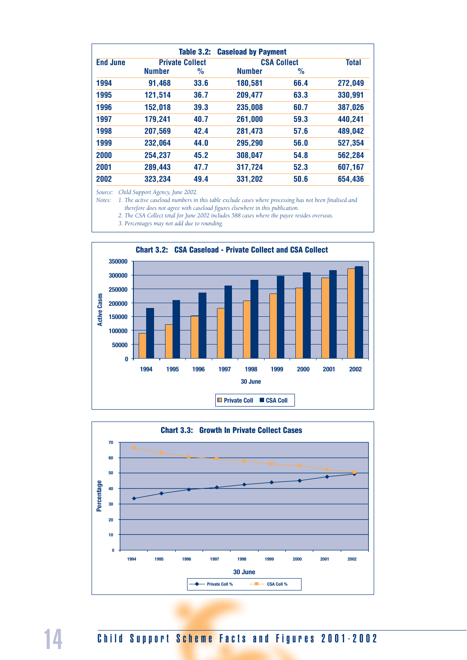|                 |               | <b>Table 3.2:</b>      | <b>Caseload by Payment</b> |                    |              |
|-----------------|---------------|------------------------|----------------------------|--------------------|--------------|
| <b>End June</b> |               | <b>Private Collect</b> |                            | <b>CSA Collect</b> | <b>Total</b> |
|                 | <b>Number</b> | %                      | <b>Number</b>              | %                  |              |
| 1994            | 91.468        | 33.6                   | 180,581                    | 66.4               | 272.049      |
| 1995            | 121.514       | 36.7                   | 209,477                    | 63.3               | 330,991      |
| 1996            | 152.018       | 39.3                   | 235,008                    | 60.7               | 387.026      |
| 1997            | 179,241       | 40.7                   | 261,000                    | 59.3               | 440.241      |
| 1998            | 207.569       | 42.4                   | 281,473                    | 57.6               | 489.042      |
| 1999            | 232.064       | 44.0                   | 295.290                    | 56.0               | 527.354      |
| 2000            | 254,237       | 45.2                   | 308,047                    | 54.8               | 562,284      |
| 2001            | 289.443       | 47.7                   | 317,724                    | 52.3               | 607,167      |
| 2002            | 323,234       | 49.4                   | 331,202                    | 50.6               | 654,436      |

*Source: Child Support Agency, June 2002.*

*Notes: 1. The active caseload numbers in this table exclude cases where processing has not been finalised and therefore does not agree with caseload figures elsewhere in this publication.*

*2. The CSA Collect total for June 2002 includes 588 cases where the payee resides overseas.*

*3. Percentages may not add due to rounding.*



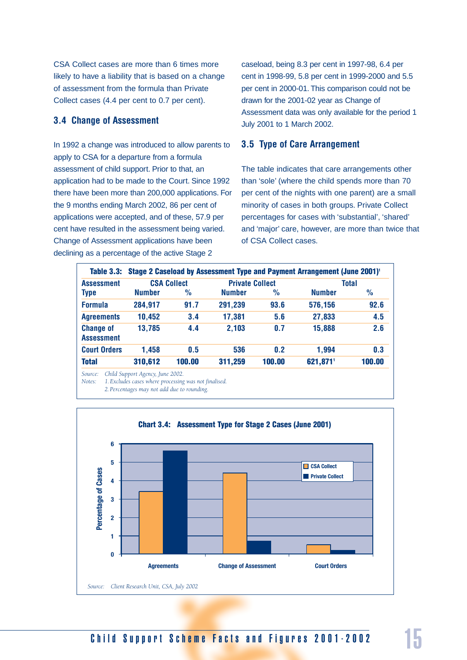CSA Collect cases are more than 6 times more likely to have a liability that is based on a change of assessment from the formula than Private Collect cases (4.4 per cent to 0.7 per cent).

#### **3.4 Change of Assessment**

In 1992 a change was introduced to allow parents to apply to CSA for a departure from a formula assessment of child support. Prior to that, an application had to be made to the Court. Since 1992 there have been more than 200,000 applications. For the 9 months ending March 2002, 86 per cent of applications were accepted, and of these, 57.9 per cent have resulted in the assessment being varied. Change of Assessment applications have been declining as a percentage of the active Stage 2

caseload, being 8.3 per cent in 1997-98, 6.4 per cent in 1998-99, 5.8 per cent in 1999-2000 and 5.5 per cent in 2000-01. This comparison could not be drawn for the 2001-02 year as Change of Assessment data was only available for the period 1 July 2001 to 1 March 2002.

#### **3.5 Type of Care Arrangement**

The table indicates that care arrangements other than 'sole' (where the child spends more than 70 per cent of the nights with one parent) are a small minority of cases in both groups. Private Collect percentages for cases with 'substantial', 'shared' and 'major' care, however, are more than twice that of CSA Collect cases.

|                                       |               |                    |                        |        | Table 3.3: Stage 2 Caseload by Assessment Type and Payment Arrangement (June 2001)' |        |  |
|---------------------------------------|---------------|--------------------|------------------------|--------|-------------------------------------------------------------------------------------|--------|--|
| <b>Assessment</b>                     |               | <b>CSA Collect</b> | <b>Private Collect</b> |        | <b>Total</b>                                                                        |        |  |
| <b>Type</b>                           | <b>Number</b> | $\frac{0}{0}$      | <b>Number</b>          | %      | <b>Number</b>                                                                       | %      |  |
| <b>Formula</b>                        | 284.917       | 91.7               | 291.239                | 93.6   | 576.156                                                                             | 92.6   |  |
| <b>Agreements</b>                     | 10,452        | 3.4                | 17.381                 | 5.6    | 27.833                                                                              | 4.5    |  |
| <b>Change of</b><br><b>Assessment</b> | 13.785        | 4.4                | 2.103                  | 0.7    | 15.888                                                                              | 2.6    |  |
| <b>Court Orders</b>                   | 1.458         | 0.5                | 536                    | 0.2    | 1.994                                                                               | 0.3    |  |
| <b>Total</b>                          | 310.612       | 100.00             | 311,259                | 100.00 | 621.871                                                                             | 100.00 |  |

*Source: Child Support Agency, June 2002.*

*<sup>2.</sup>Percentages may not add due to rounding.*



*Notes: 1.Excludes cases where processing was not finalised.*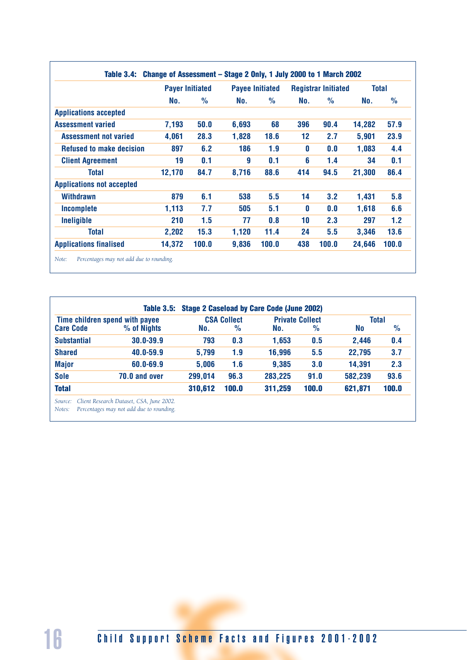|                                  | <b>Payer Initiated</b> |               |       | <b>Payee Initiated</b> |                 | <b>Registrar Initiated</b> |        | <b>Total</b>  |
|----------------------------------|------------------------|---------------|-------|------------------------|-----------------|----------------------------|--------|---------------|
|                                  | No.                    | $\frac{9}{6}$ | No.   | $\frac{9}{6}$          | No.             | $\frac{9}{6}$              | No.    | $\frac{0}{0}$ |
| <b>Applications accepted</b>     |                        |               |       |                        |                 |                            |        |               |
| <b>Assessment varied</b>         | 7,193                  | 50.0          | 6,693 | 68                     | 396             | 90.4                       | 14,282 | 57.9          |
| <b>Assessment not varied</b>     | 4,061                  | 28.3          | 1,828 | 18.6                   | 12 <sup>2</sup> | 2.7                        | 5,901  | 23.9          |
| <b>Refused to make decision</b>  | 897                    | 6.2           | 186   | 1.9                    | $\bf{0}$        | 0.0                        | 1,083  | 4.4           |
| <b>Client Agreement</b>          | 19                     | 0.1           | 9     | 0.1                    | 6               | 1.4                        | 34     | 0.1           |
| <b>Total</b>                     | 12,170                 | 84.7          | 8,716 | 88.6                   | 414             | 94.5                       | 21,300 | 86.4          |
| <b>Applications not accepted</b> |                        |               |       |                        |                 |                            |        |               |
| Withdrawn                        | 879                    | 6.1           | 538   | 5.5                    | 14              | 3.2                        | 1,431  | 5.8           |
| Incomplete                       | 1,113                  | 7.7           | 505   | 5.1                    | $\mathbf{0}$    | 0.0                        | 1.618  | 6.6           |
| Ineligible                       | 210                    | 1.5           | 77    | 0.8                    | 10              | 2.3                        | 297    | 1.2           |
| <b>Total</b>                     | 2,202                  | 15.3          | 1,120 | 11.4                   | 24              | 5.5                        | 3.346  | 13.6          |
| <b>Applications finalised</b>    | 14,372                 | 100.0         | 9,836 | 100.0                  | 438             | 100.0                      | 24,646 | 100.0         |

|                    | Time children spend with payee |         | <b>CSA Collect</b> |         | <b>Private Collect</b> |         | <b>Total</b> |
|--------------------|--------------------------------|---------|--------------------|---------|------------------------|---------|--------------|
| <b>Care Code</b>   | % of Nights                    | No.     | $\%$               | No.     | $\%$                   | No      | $\%$         |
| <b>Substantial</b> | $30.0 - 39.9$                  | 793     | 0.3                | 1.653   | 0.5                    | 2.446   | 0.4          |
| <b>Shared</b>      | $40.0 - 59.9$                  | 5.799   | 1.9                | 16.996  | 5.5                    | 22.795  | 3.7          |
| <b>Major</b>       | $60.0 - 69.9$                  | 5.006   | 1.6                | 9.385   | 3.0                    | 14.391  | 2.3          |
| <b>Sole</b>        | 70.0 and over                  | 299.014 | 96.3               | 283,225 | 91.0                   | 582,239 | 93.6         |
| <b>Total</b>       |                                | 310.612 | 100.0              | 311,259 | 100.0                  | 621,871 | 100.0        |

*Notes: Percentages may not add due to rounding.*

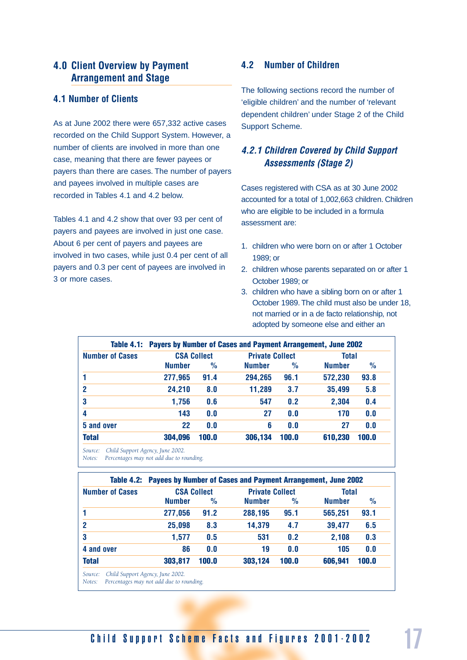#### **4.0 Client Overview by Payment Arrangement and Stage**

#### **4.1 Number of Clients**

As at June 2002 there were 657,332 active cases recorded on the Child Support System. However, a number of clients are involved in more than one case, meaning that there are fewer payees or payers than there are cases. The number of payers and payees involved in multiple cases are recorded in Tables 4.1 and 4.2 below.

Tables 4.1 and 4.2 show that over 93 per cent of payers and payees are involved in just one case. About 6 per cent of payers and payees are involved in two cases, while just 0.4 per cent of all payers and 0.3 per cent of payees are involved in 3 or more cases.

#### **4.2 Number of Children**

The following sections record the number of 'eligible children' and the number of 'relevant dependent children' under Stage 2 of the Child Support Scheme.

#### *4.2.1 Children Covered by Child Support Assessments (Stage 2)*

Cases registered with CSA as at 30 June 2002 accounted for a total of 1,002,663 children. Children who are eligible to be included in a formula assessment are:

- 1. children who were born on or after 1 October 1989; or
- 2. children whose parents separated on or after 1 October 1989; or
- 3. children who have a sibling born on or after 1 October 1989. The child must also be under 18, not married or in a de facto relationship, not adopted by someone else and either an

|                        | Table 4.1: Payers by Number of Cases and Payment Arrangement, June 2002 |                    |                        |       |               |               |
|------------------------|-------------------------------------------------------------------------|--------------------|------------------------|-------|---------------|---------------|
| <b>Number of Cases</b> |                                                                         | <b>CSA Collect</b> | <b>Private Collect</b> |       | <b>Total</b>  |               |
|                        | <b>Number</b>                                                           | %                  | <b>Number</b>          | $\%$  | <b>Number</b> | $\frac{0}{0}$ |
| 1                      | 277.965                                                                 | 91.4               | 294.265                | 96.1  | 572.230       | 93.8          |
| $\mathbf{2}$           | 24,210                                                                  | 8.0                | 11,289                 | 3.7   | 35,499        | 5.8           |
| 3                      | 1,756                                                                   | 0.6                | 547                    | 0.2   | 2,304         | 0.4           |
| 4                      | 143                                                                     | 0.0                | 27                     | 0.0   | 170           | 0.0           |
| 5 and over             | 22                                                                      | 0.0                | 6                      | 0.0   | 27            | 0.0           |
| <b>Total</b>           | 304.096                                                                 | 100.0              | 306.134                | 100.0 | 610.230       | 100.0         |

*Notes: Percentages may not add due to rounding.*

| <b>Number of Cases</b> | <b>CSA Collect</b> |       | <b>Private Collect</b> |       | <b>Total</b>  |       |
|------------------------|--------------------|-------|------------------------|-------|---------------|-------|
|                        | <b>Number</b>      | $\%$  | <b>Number</b>          | $\%$  | <b>Number</b> | $\%$  |
| 1                      | 277,056            | 91.2  | 288,195                | 95.1  | 565,251       | 93.1  |
| $\mathbf{2}$           | 25,098             | 8.3   | 14.379                 | 4.7   | 39,477        | 6.5   |
| 3                      | 1.577              | 0.5   | 531                    | 0.2   | 2,108         | 0.3   |
| 4 and over             | 86                 | 0.0   | 19                     | 0.0   | 105           | 0.0   |
| <b>Total</b>           | 303,817            | 100.0 | 303,124                | 100.0 | 606,941       | 100.0 |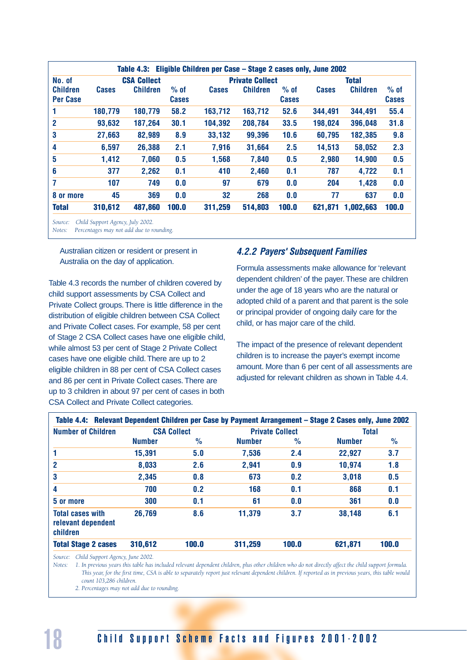|                                    |              | Table 4.3:         |                        | Eligible Children per Case - Stage 2 cases only, June 2002 |                        |                        |              |                 |                        |
|------------------------------------|--------------|--------------------|------------------------|------------------------------------------------------------|------------------------|------------------------|--------------|-----------------|------------------------|
| No. of                             |              | <b>CSA Collect</b> |                        |                                                            | <b>Private Collect</b> |                        |              | <b>Total</b>    |                        |
| <b>Children</b><br><b>Per Case</b> | <b>Cases</b> | <b>Children</b>    | $%$ of<br><b>Cases</b> | <b>Cases</b>                                               | <b>Children</b>        | $%$ of<br><b>Cases</b> | <b>Cases</b> | <b>Children</b> | $%$ of<br><b>Cases</b> |
| 1                                  | 180.779      | 180,779            | 58.2                   | 163,712                                                    | 163,712                | 52.6                   | 344,491      | 344,491         | 55.4                   |
| $\mathbf{2}$                       | 93.632       | 187.264            | 30.1                   | 104.392                                                    | 208.784                | 33.5                   | 198.024      | 396.048         | 31.8                   |
| 3                                  | 27.663       | 82.989             | 8.9                    | 33,132                                                     | 99.396                 | 10.6                   | 60.795       | 182,385         | 9.8                    |
| 4                                  | 6.597        | 26.388             | 2.1                    | 7.916                                                      | 31.664                 | 2.5                    | 14.513       | 58.052          | 2.3                    |
| 5                                  | 1.412        | 7.060              | 0.5                    | 1.568                                                      | 7.840                  | 0.5                    | 2.980        | 14,900          | 0.5                    |
| 6                                  | 377          | 2.262              | 0.1                    | 410                                                        | 2.460                  | 0.1                    | 787          | 4.722           | 0.1                    |
| 7                                  | 107          | 749                | 0.0                    | 97                                                         | 679                    | 0.0                    | 204          | 1.428           | 0.0                    |
| 8 or more                          | 45           | 369                | 0.0                    | 32                                                         | 268                    | 0.0                    | 77           | 637             | 0.0                    |
| <b>Total</b>                       | 310.612      | 487.860            | 100.0                  | 311.259                                                    | 514.803                | 100.0                  | 621.871      | 1.002.663       | 100.0                  |

*Notes: Percentages may not add due to rounding.*

Australian citizen or resident or present in Australia on the day of application.

Table 4.3 records the number of children covered by child support assessments by CSA Collect and Private Collect groups. There is little difference in the distribution of eligible children between CSA Collect and Private Collect cases. For example, 58 per cent of Stage 2 CSA Collect cases have one eligible child, while almost 53 per cent of Stage 2 Private Collect cases have one eligible child. There are up to 2 eligible children in 88 per cent of CSA Collect cases and 86 per cent in Private Collect cases. There are up to 3 children in about 97 per cent of cases in both CSA Collect and Private Collect categories.

#### *4.2.2 Payers' Subsequent Families*

Formula assessments make allowance for 'relevant dependent children' of the payer. These are children under the age of 18 years who are the natural or adopted child of a parent and that parent is the sole or principal provider of ongoing daily care for the child, or has major care of the child.

The impact of the presence of relevant dependent children is to increase the payer's exempt income amount. More than 6 per cent of all assessments are adjusted for relevant children as shown in Table 4.4.

| <b>Number of Children</b>                                 |               | <b>CSA Collect</b> |               | <b>Private Collect</b> | <b>Total</b>  |               |
|-----------------------------------------------------------|---------------|--------------------|---------------|------------------------|---------------|---------------|
|                                                           | <b>Number</b> | $\%$               | <b>Number</b> | $\frac{9}{6}$          | <b>Number</b> | $\frac{9}{6}$ |
| 1                                                         | 15.391        | 5.0                | 7.536         | 2.4                    | 22,927        | 3.7           |
| 2                                                         | 8.033         | 2.6                | 2.941         | 0.9                    | 10.974        | 1.8           |
| 3                                                         | 2.345         | 0.8                | 673           | 0.2                    | 3.018         | 0.5           |
| 4                                                         | 700           | 0.2                | 168           | 0.1                    | 868           | 0.1           |
| 5 or more                                                 | 300           | 0.1                | 61            | 0.0                    | 361           | 0.0           |
| <b>Total cases with</b><br>relevant dependent<br>children | 26.769        | 8.6                | 11.379        | 3.7                    | 38.148        | 6.1           |
| <b>Total Stage 2 cases</b>                                | 310.612       | 100.0              | 311,259       | 100.0                  | 621.871       | 100.0         |

*Source: Child Support Agency, June 2002.*

*Notes: 1. In previous years this table has included relevant dependent children, plus other children who do not directly affect the child support formula. This year, for the first time, CSA is able to separately report just relevant dependent children. If reported as in previous years, this table would count 103,286 children.*

*2. Percentages may not add due to rounding.*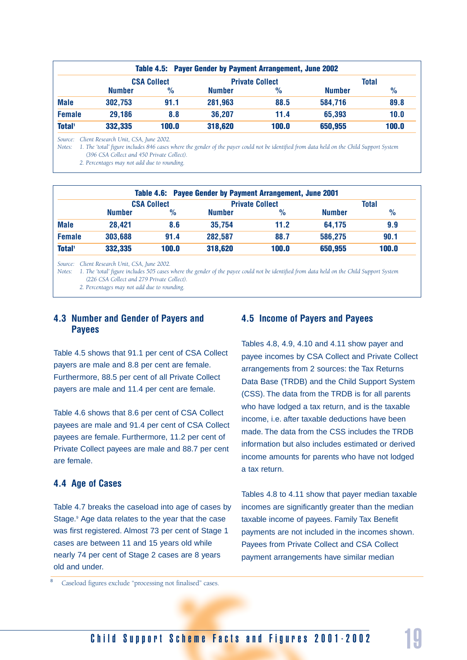| Table 4.5: Payer Gender by Payment Arrangement, June 2002 |               |                    |       |                        |              |  |  |
|-----------------------------------------------------------|---------------|--------------------|-------|------------------------|--------------|--|--|
|                                                           |               |                    |       |                        | <b>Total</b> |  |  |
| <b>Number</b>                                             | $\frac{0}{0}$ | <b>Number</b>      | $\%$  | <b>Number</b>          | $\%$         |  |  |
| 302,753                                                   | 91.1          | 281.963            | 88.5  | 584.716                | 89.8         |  |  |
| 29.186                                                    | 8.8           | 36.207             | 11.4  | 65.393                 | 10.0         |  |  |
| 332,335                                                   | 100.0         | 318,620            | 100.0 | 650,955                | 100.0        |  |  |
|                                                           |               | <b>CSA Collect</b> |       | <b>Private Collect</b> |              |  |  |

*Source: Client Research Unit, CSA, June 2002.*

*Notes: 1. The 'total' figure includes 846 cases where the gender of the payer could not be identified from data held on the Child Support System (396 CSA Collect and 450 Private Collect).*

*2. Percentages may not add due to rounding.*

|                           |               |                    | Table 4.6: Payee Gender by Payment Arrangement, June 2001 |                        |               |              |
|---------------------------|---------------|--------------------|-----------------------------------------------------------|------------------------|---------------|--------------|
|                           |               | <b>CSA Collect</b> |                                                           | <b>Private Collect</b> |               | <b>Total</b> |
|                           | <b>Number</b> | $\%$               | <b>Number</b>                                             | $\%$                   | <b>Number</b> | $\%$         |
| <b>Male</b>               | 28.421        | 8.6                | 35.754                                                    | 11.2                   | 64.175        | 9.9          |
| <b>Female</b>             | 303.688       | 91.4               | 282.587                                                   | 88.7                   | 586.275       | 90.1         |
| <b>Total</b> <sup>1</sup> | 332,335       | 100.0              | 318,620                                                   | 100.0                  | 650,955       | 100.0        |

*Source: Client Research Unit, CSA, June 2002.*

*Notes: 1. The 'total' figure includes 505 cases where the gender of the payee could not be identified from data held on the Child Support System (226 CSA Collect and 279 Private Collect).*

*2. Percentages may not add due to rounding.*

#### **4.3 Number and Gender of Payers and Payees**

Table 4.5 shows that 91.1 per cent of CSA Collect payers are male and 8.8 per cent are female. Furthermore, 88.5 per cent of all Private Collect payers are male and 11.4 per cent are female.

Table 4.6 shows that 8.6 per cent of CSA Collect payees are male and 91.4 per cent of CSA Collect payees are female. Furthermore, 11.2 per cent of Private Collect payees are male and 88.7 per cent are female.

#### **4.4 Age of Cases**

Table 4.7 breaks the caseload into age of cases by Stage.9 Age data relates to the year that the case was first registered. Almost 73 per cent of Stage 1 cases are between 11 and 15 years old while nearly 74 per cent of Stage 2 cases are 8 years old and under.

Caseload figures exclude "processing not finalised" cases.

#### **4.5 Income of Payers and Payees**

Tables 4.8, 4.9, 4.10 and 4.11 show payer and payee incomes by CSA Collect and Private Collect arrangements from 2 sources: the Tax Returns Data Base (TRDB) and the Child Support System (CSS). The data from the TRDB is for all parents who have lodged a tax return, and is the taxable income, i.e. after taxable deductions have been made. The data from the CSS includes the TRDB information but also includes estimated or derived income amounts for parents who have not lodged a tax return.

Tables 4.8 to 4.11 show that payer median taxable incomes are significantly greater than the median taxable income of payees. Family Tax Benefit payments are not included in the incomes shown. Payees from Private Collect and CSA Collect payment arrangements have similar median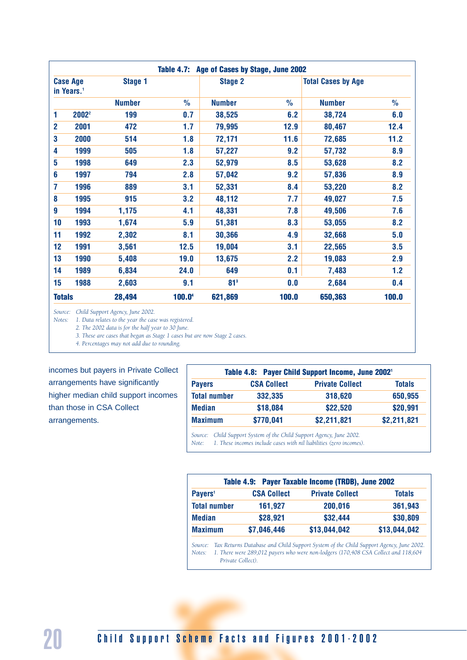| Table 4.7: Age of Cases by Stage, June 2002 |                                           |               |               |                 |               |                           |               |  |
|---------------------------------------------|-------------------------------------------|---------------|---------------|-----------------|---------------|---------------------------|---------------|--|
|                                             | <b>Case Age</b><br>in Years. <sup>1</sup> | Stage 1       |               | <b>Stage 2</b>  |               | <b>Total Cases by Age</b> |               |  |
|                                             |                                           | <b>Number</b> | $\frac{0}{0}$ | <b>Number</b>   | $\frac{0}{0}$ | <b>Number</b>             | $\frac{1}{2}$ |  |
| 1                                           | $2002^2$                                  | 199           | 0.7           | 38,525          | 6.2           | 38,724                    | 6.0           |  |
| $\overline{2}$                              | 2001                                      | 472           | 1.7           | 79,995          | 12.9          | 80,467                    | 12.4          |  |
| 3                                           | 2000                                      | 514           | 1.8           | 72,171          | 11.6          | 72,685                    | 11.2          |  |
| 4                                           | 1999                                      | 505           | 1.8           | 57,227          | 9.2           | 57,732                    | 8.9           |  |
| 5                                           | 1998                                      | 649           | 2.3           | 52,979          | 8.5           | 53,628                    | 8.2           |  |
| 6                                           | 1997                                      | 794           | 2.8           | 57,042          | 9.2           | 57,836                    | 8.9           |  |
| 7                                           | 1996                                      | 889           | 3.1           | 52,331          | 8.4           | 53,220                    | 8.2           |  |
| 8                                           | 1995                                      | 915           | 3.2           | 48,112          | 7.7           | 49,027                    | 7.5           |  |
| 9                                           | 1994                                      | 1,175         | 4.1           | 48,331          | 7.8           | 49,506                    | 7.6           |  |
| 10                                          | 1993                                      | 1,674         | 5.9           | 51,381          | 8.3           | 53,055                    | 8.2           |  |
| 11                                          | 1992                                      | 2,302         | 8.1           | 30,366          | 4.9           | 32,668                    | 5.0           |  |
| 12 <sub>2</sub>                             | 1991                                      | 3,561         | 12.5          | 19,004          | 3.1           | 22,565                    | 3.5           |  |
| 13                                          | 1990                                      | 5,408         | 19.0          | 13,675          | 2.2           | 19,083                    | 2.9           |  |
| 14                                          | 1989                                      | 6,834         | 24.0          | 649             | 0.1           | 7,483                     | 1.2           |  |
| 15                                          | 1988                                      | 2,603         | 9.1           | 81 <sup>3</sup> | 0.0           | 2,684                     | 0.4           |  |
| <b>Totals</b>                               |                                           | 28,494        | 100.04        | 621,869         | 100.0         | 650,363                   | 100.0         |  |

*Source: Child Support Agency, June 2002.*

*Notes: 1. Data relates to the year the case was registered.*

*2. The 2002 data is for the half year to 30 June.*

*3. These are cases that began as Stage 1 cases but are now Stage 2 cases.*

*4. Percentages may not add due to rounding.*

incomes but payers in Private Collect arrangements have significantly higher median child support incomes than those in CSA Collect arrangements.

| Table 4.8: Payer Child Support Income, June 2002 <sup>1</sup> |                        |             |  |  |  |  |  |
|---------------------------------------------------------------|------------------------|-------------|--|--|--|--|--|
| <b>CSA Collect</b>                                            | <b>Private Collect</b> | Totals      |  |  |  |  |  |
| 332,335                                                       | 318,620                | 650,955     |  |  |  |  |  |
| \$18,084                                                      | \$22,520               | \$20,991    |  |  |  |  |  |
| \$770,041                                                     | \$2,211,821            | \$2,211,821 |  |  |  |  |  |
|                                                               |                        |             |  |  |  |  |  |

*Source: Child Support System of the Child Support Agency, June 2002. Note: 1. These incomes include cases with nil liabilities (zero incomes).*

| Table 4.9: Payer Taxable Income (TRDB), June 2002 |                    |                        |               |  |  |  |  |
|---------------------------------------------------|--------------------|------------------------|---------------|--|--|--|--|
| Payers <sup>1</sup>                               | <b>CSA Collect</b> | <b>Private Collect</b> | <b>Totals</b> |  |  |  |  |
| <b>Total number</b>                               | 161.927            | 200,016                | 361,943       |  |  |  |  |
| <b>Median</b>                                     | \$28.921           | \$32.444               | \$30,809      |  |  |  |  |
| <b>Maximum</b>                                    | \$7,046,446        | \$13,044,042           | \$13,044,042  |  |  |  |  |
|                                                   |                    |                        |               |  |  |  |  |

*Source: Tax Returns Database and Child Support System of the Child Support Agency, June 2002. Notes: 1. There were 289,012 payers who were non-lodgers (170,408 CSA Collect and 118,604 Private Collect).*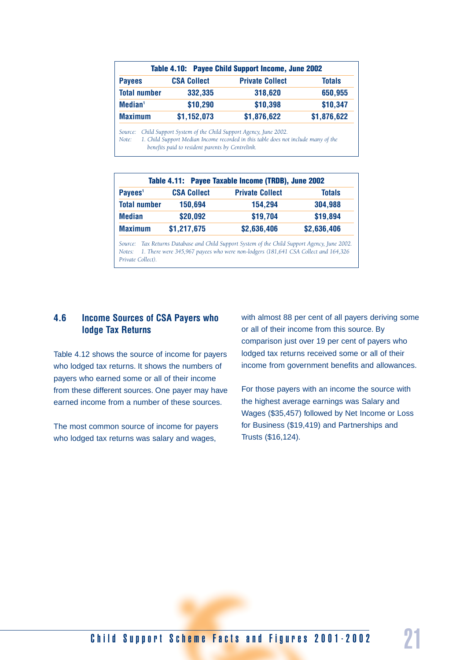| <b>Payees</b>       | <b>CSA Collect</b> | <b>Private Collect</b> | <b>Totals</b> |  |
|---------------------|--------------------|------------------------|---------------|--|
| <b>Total number</b> | 332,335            | 318,620                | 650,955       |  |
| Median <sup>1</sup> | \$10,290           | \$10,398               | \$10,347      |  |
| <b>Maximum</b>      | \$1,152,073        | \$1,876,622            | \$1,876,622   |  |

*benefits paid to resident parents by Centrelink.*

| Table 4.11: Payee Taxable Income (TRDB), June 2002 |                    |                        |               |  |  |  |
|----------------------------------------------------|--------------------|------------------------|---------------|--|--|--|
| Payees <sup>1</sup>                                | <b>CSA Collect</b> | <b>Private Collect</b> | <b>Totals</b> |  |  |  |
| <b>Total number</b>                                | 150,694            | 154.294                | 304.988       |  |  |  |
| <b>Median</b>                                      | \$20,092           | \$19.704               | \$19,894      |  |  |  |
| <b>Maximum</b>                                     | \$1,217,675        | \$2,636,406            | \$2,636,406   |  |  |  |

*Source: Tax Returns Database and Child Support System of the Child Support Agency, June 2002. Notes: 1. There were 345,967 payees who were non-lodgers (181,641 CSA Collect and 164,326 Private Collect).*

#### **4.6 Income Sources of CSA Payers who lodge Tax Returns**

Table 4.12 shows the source of income for payers who lodged tax returns. It shows the numbers of payers who earned some or all of their income from these different sources. One payer may have earned income from a number of these sources.

The most common source of income for payers who lodged tax returns was salary and wages,

with almost 88 per cent of all payers deriving some or all of their income from this source. By comparison just over 19 per cent of payers who lodged tax returns received some or all of their income from government benefits and allowances.

For those payers with an income the source with the highest average earnings was Salary and Wages (\$35,457) followed by Net Income or Loss for Business (\$19,419) and Partnerships and Trusts (\$16,124).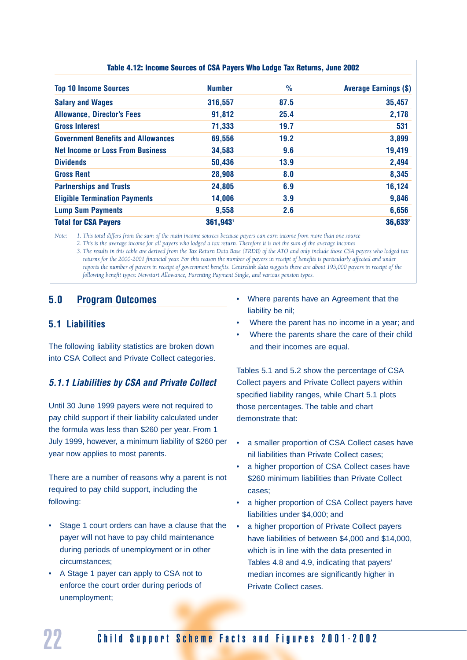| Table 4.12: Income Sources of CSA Payers Who Lodge Tax Returns, June 2002 |               |               |                              |  |  |  |  |
|---------------------------------------------------------------------------|---------------|---------------|------------------------------|--|--|--|--|
| <b>Top 10 Income Sources</b>                                              | <b>Number</b> | $\frac{9}{6}$ | <b>Average Earnings (\$)</b> |  |  |  |  |
| <b>Salary and Wages</b>                                                   | 316,557       | 87.5          | 35,457                       |  |  |  |  |
| <b>Allowance, Director's Fees</b>                                         | 91,812        | 25.4          | 2,178                        |  |  |  |  |
| <b>Gross Interest</b>                                                     | 71,333        | 19.7          | 531                          |  |  |  |  |
| <b>Government Benefits and Allowances</b>                                 | 69,556        | 19.2          | 3,899                        |  |  |  |  |
| <b>Net Income or Loss From Business</b>                                   | 34.583        | 9.6           | 19.419                       |  |  |  |  |
| <b>Dividends</b>                                                          | 50,436        | 13.9          | 2,494                        |  |  |  |  |
| <b>Gross Rent</b>                                                         | 28,908        | 8.0           | 8,345                        |  |  |  |  |
| <b>Partnerships and Trusts</b>                                            | 24.805        | 6.9           | 16,124                       |  |  |  |  |
| <b>Eligible Termination Payments</b>                                      | 14,006        | 3.9           | 9,846                        |  |  |  |  |
| <b>Lump Sum Payments</b>                                                  | 9,558         | 2.6           | 6.656                        |  |  |  |  |
| <b>Total for CSA Payers</b>                                               | 361,943       |               | <b>36,633<sup>2</sup></b>    |  |  |  |  |

*Note: 1. This total differs from the sum of the main income sources because payers can earn income from more than one source*

*2. This is the average income for all payers who lodged a tax return. Therefore it is not the sum of the average incomes 3. The results in this table are derived from the Tax Return Data Base (TRDB) of the ATO and only include those CSA payers who lodged tax returns for the 2000-2001 financial year. For this reason the number of payers in receipt of benefits is particularly affected and under reports the number of payers in receipt of government benefits. Centrelink data suggests there are about 195,000 payers in receipt of the following benefit types: Newstart Allowance, Parenting Payment Single, and various pension types.*

#### **5.0 Program Outcomes**

#### **5.1 Liabilities**

The following liability statistics are broken down into CSA Collect and Private Collect categories.

#### *5.1.1 Liabilities by CSA and Private Collect*

Until 30 June 1999 payers were not required to pay child support if their liability calculated under the formula was less than \$260 per year. From 1 July 1999, however, a minimum liability of \$260 per year now applies to most parents.

There are a number of reasons why a parent is not required to pay child support, including the following:

- Stage 1 court orders can have a clause that the payer will not have to pay child maintenance during periods of unemployment or in other circumstances;
- A Stage 1 payer can apply to CSA not to enforce the court order during periods of unemployment;
- Where parents have an Agreement that the liability be nil;
- Where the parent has no income in a year; and
- Where the parents share the care of their child and their incomes are equal.

Tables 5.1 and 5.2 show the percentage of CSA Collect payers and Private Collect payers within specified liability ranges, while Chart 5.1 plots those percentages. The table and chart demonstrate that:

- a smaller proportion of CSA Collect cases have nil liabilities than Private Collect cases;
- a higher proportion of CSA Collect cases have \$260 minimum liabilities than Private Collect cases;
- a higher proportion of CSA Collect payers have liabilities under \$4,000; and
- a higher proportion of Private Collect payers have liabilities of between \$4,000 and \$14,000, which is in line with the data presented in Tables 4.8 and 4.9, indicating that payers' median incomes are significantly higher in Private Collect cases.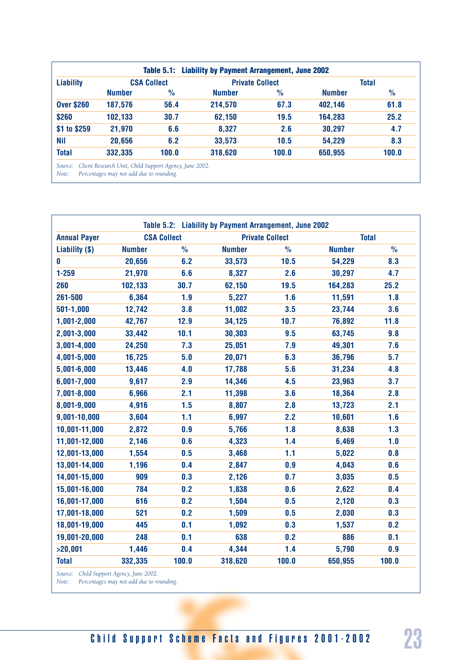| Liability         |               | <b>CSA Collect</b> |               | <b>Private Collect</b> |               | <b>Total</b> |
|-------------------|---------------|--------------------|---------------|------------------------|---------------|--------------|
|                   | <b>Number</b> | $\frac{9}{6}$      | <b>Number</b> | $\frac{9}{6}$          | <b>Number</b> | $\%$         |
| <b>Over \$260</b> | 187.576       | 56.4               | 214,570       | 67.3                   | 402,146       | 61.8         |
| \$260             | 102.133       | 30.7               | 62.150        | 19.5                   | 164.283       | 25.2         |
| \$1 to \$259      | 21.970        | 6.6                | 8.327         | 2.6                    | 30,297        | 4.7          |
| Nil               | 20.656        | 6.2                | 33,573        | 10.5                   | 54.229        | 8.3          |
| <b>Total</b>      | 332.335       | 100.0              | 318,620       | 100.0                  | 650,955       | 100.0        |

|                                          |               |                    | Table 5.2: Liability by Payment Arrangement, June 2002 |                        |               |               |
|------------------------------------------|---------------|--------------------|--------------------------------------------------------|------------------------|---------------|---------------|
| <b>Annual Payer</b>                      |               | <b>CSA Collect</b> |                                                        | <b>Private Collect</b> |               | <b>Total</b>  |
| Liability (\$)                           | <b>Number</b> | $\frac{1}{2}$      | <b>Number</b>                                          | $\frac{0}{0}$          | <b>Number</b> | $\frac{1}{2}$ |
| 0                                        | 20,656        | 6.2                | 33,573                                                 | 10.5                   | 54,229        | 8.3           |
| $1 - 259$                                | 21,970        | 6.6                | 8,327                                                  | 2.6                    | 30,297        | 4.7           |
| 260                                      | 102,133       | 30.7               | 62,150                                                 | 19.5                   | 164,283       | 25.2          |
| 261-500                                  | 6,364         | 1.9                | 5,227                                                  | 1.6                    | 11,591        | 1.8           |
| $501 - 1,000$                            | 12,742        | 3.8                | 11,002                                                 | 3.5                    | 23,744        | 3.6           |
| $1,001 - 2,000$                          | 42,767        | 12.9               | 34,125                                                 | 10.7                   | 76,892        | 11.8          |
| 2,001-3,000                              | 33,442        | 10.1               | 30,303                                                 | 9.5                    | 63,745        | 9.8           |
| $3,001 - 4,000$                          | 24,250        | 7.3                | 25,051                                                 | 7.9                    | 49,301        | 7.6           |
| 4,001-5,000                              | 16,725        | 5.0                | 20,071                                                 | 6.3                    | 36,796        | 5.7           |
| $5,001 - 6,000$                          | 13,446        | 4.0                | 17,788                                                 | 5.6                    | 31,234        | 4.8           |
| $6,001 - 7,000$                          | 9,617         | 2.9                | 14,346                                                 | 4.5                    | 23,963        | 3.7           |
| 7,001-8,000                              | 6,966         | 2.1                | 11,398                                                 | 3.6                    | 18,364        | 2.8           |
| 8,001-9,000                              | 4,916         | 1.5                | 8,807                                                  | 2.8                    | 13,723        | 2.1           |
| $9,001 - 10,000$                         | 3,604         | 1.1                | 6,997                                                  | 2.2                    | 10,601        | 1.6           |
| 10,001-11,000                            | 2,872         | 0.9                | 5,766                                                  | 1.8                    | 8,638         | 1.3           |
| 11,001-12,000                            | 2,146         | 0.6                | 4,323                                                  | 1.4                    | 6,469         | 1.0           |
| 12,001-13,000                            | 1,554         | 0.5                | 3,468                                                  | 1.1                    | 5,022         | 0.8           |
| 13,001-14,000                            | 1,196         | 0.4                | 2,847                                                  | 0.9                    | 4,043         | 0.6           |
| 14,001-15,000                            | 909           | 0.3                | 2,126                                                  | 0.7                    | 3,035         | 0.5           |
| 15,001-16,000                            | 784           | 0.2                | 1,838                                                  | 0.6                    | 2,622         | 0.4           |
| 16,001-17,000                            | 616           | 0.2                | 1,504                                                  | 0.5                    | 2,120         | 0.3           |
| 17,001-18,000                            | 521           | 0.2                | 1,509                                                  | 0.5                    | 2,030         | 0.3           |
| 18,001-19,000                            | 445           | 0.1                | 1,092                                                  | 0.3                    | 1,537         | 0.2           |
| 19,001-20,000                            | 248           | 0.1                | 638                                                    | 0.2                    | 886           | 0.1           |
| >20,001                                  | 1,446         | 0.4                | 4,344                                                  | 1.4                    | 5,790         | 0.9           |
| <b>Total</b>                             | 332,335       | 100.0              | 318,620                                                | 100.0                  | 650,955       | 100.0         |
| Source: Child Support Agency, June 2002. |               |                    |                                                        |                        |               |               |

*Note: Percentages may not add due to rounding.*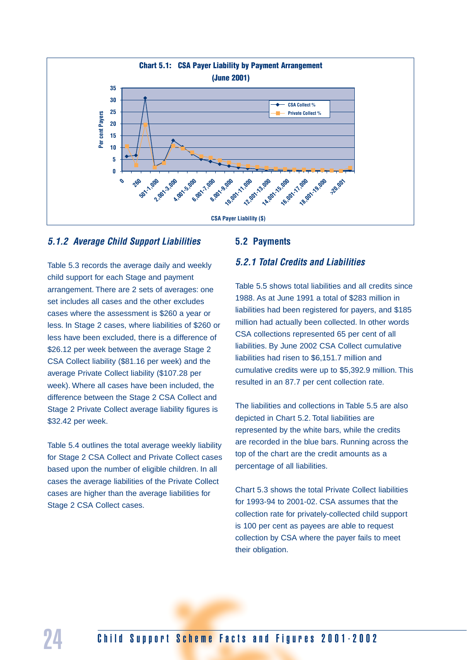

#### *5.1.2 Average Child Support Liabilities*

Table 5.3 records the average daily and weekly child support for each Stage and payment arrangement. There are 2 sets of averages: one set includes all cases and the other excludes cases where the assessment is \$260 a year or less. In Stage 2 cases, where liabilities of \$260 or less have been excluded, there is a difference of \$26.12 per week between the average Stage 2 CSA Collect liability (\$81.16 per week) and the average Private Collect liability (\$107.28 per week). Where all cases have been included, the difference between the Stage 2 CSA Collect and Stage 2 Private Collect average liability figures is \$32.42 per week.

Table 5.4 outlines the total average weekly liability for Stage 2 CSA Collect and Private Collect cases based upon the number of eligible children. In all cases the average liabilities of the Private Collect cases are higher than the average liabilities for Stage 2 CSA Collect cases.

#### **5.2 Payments**

#### *5.2.1 Total Credits and Liabilities*

Table 5.5 shows total liabilities and all credits since 1988. As at June 1991 a total of \$283 million in liabilities had been registered for payers, and \$185 million had actually been collected. In other words CSA collections represented 65 per cent of all liabilities. By June 2002 CSA Collect cumulative liabilities had risen to \$6,151.7 million and cumulative credits were up to \$5,392.9 million. This resulted in an 87.7 per cent collection rate.

The liabilities and collections in Table 5.5 are also depicted in Chart 5.2. Total liabilities are represented by the white bars, while the credits are recorded in the blue bars. Running across the top of the chart are the credit amounts as a percentage of all liabilities.

Chart 5.3 shows the total Private Collect liabilities for 1993-94 to 2001-02. CSA assumes that the collection rate for privately-collected child support is 100 per cent as payees are able to request collection by CSA where the payer fails to meet their obligation.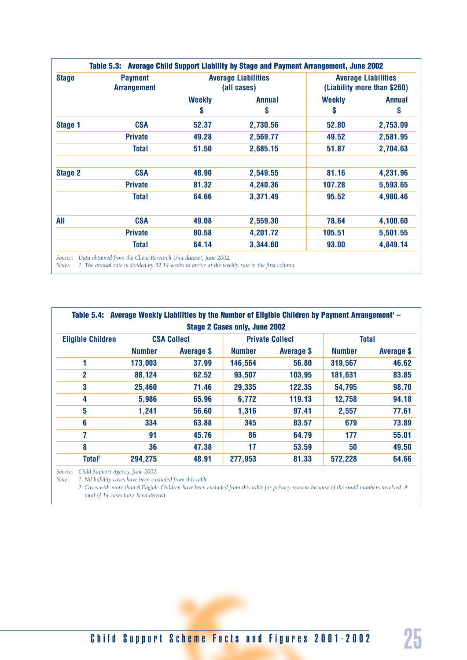| <b>Stage</b>   | <b>Payment</b><br><b>Arrangement</b> |                     | <b>Average Liabilities</b><br>(all cases) |                    | <b>Average Liabilities</b><br>(Liability more than \$260) |
|----------------|--------------------------------------|---------------------|-------------------------------------------|--------------------|-----------------------------------------------------------|
|                |                                      |                     |                                           |                    |                                                           |
|                |                                      | <b>Weekly</b><br>\$ | <b>Annual</b><br>\$                       | <b>Weekly</b><br>S | <b>Annual</b><br>\$                                       |
| Stage 1        | <b>CSA</b>                           | 52.37               | 2,730.56                                  | 52.80              | 2,753.09                                                  |
|                | <b>Private</b>                       | 49.28               | 2,569.77                                  | 49.52              | 2,581.95                                                  |
|                | <b>Total</b>                         | 51.50               | 2,685.15                                  | 51.87              | 2,704.63                                                  |
| <b>Stage 2</b> | <b>CSA</b>                           | 48.90               | 2,549.55                                  | 81.16              | 4,231.96                                                  |
|                | <b>Private</b>                       | 81.32               | 4,240.36                                  | 107.28             | 5,593.65                                                  |
|                | <b>Total</b>                         | 64.66               | 3,371.49                                  | 95.52              | 4,980.46                                                  |
| All            | <b>CSA</b>                           | 49.08               | 2,559.30                                  | 78.64              | 4,100.60                                                  |
|                | <b>Private</b>                       | 80.58               | 4,201.72                                  | 105.51             | 5,501.55                                                  |
|                | <b>Total</b>                         | 64.14               | 3,344.60                                  | 93.00              | 4,849.14                                                  |

*Notes: 1. The annual rate is divided by 52.14 weeks to arrive at the weekly rate in the first column.*

|                          |               |                    | <b>Stage 2 Cases only, June 2002</b> |                        |               |                   |
|--------------------------|---------------|--------------------|--------------------------------------|------------------------|---------------|-------------------|
| <b>Eligible Children</b> |               | <b>CSA Collect</b> |                                      | <b>Private Collect</b> | <b>Total</b>  |                   |
|                          | <b>Number</b> | <b>Average \$</b>  | <b>Number</b>                        | <b>Average \$</b>      | <b>Number</b> | <b>Average \$</b> |
| 1                        | 173,003       | 37.99              | 146,564                              | 56.80                  | 319,567       | 46.62             |
| 2                        | 88.124        | 62.52              | 93.507                               | 103.95                 | 181.631       | 83.85             |
| 3                        | 25.460        | 71.46              | 29,335                               | 122.35                 | 54.795        | 98.70             |
| 4                        | 5.986         | 65.96              | 6.772                                | 119.13                 | 12.758        | 94.18             |
| 5                        | 1.241         | 56.60              | 1.316                                | 97.41                  | 2.557         | 77.61             |
| 6                        | 334           | 63.88              | 345                                  | 83.57                  | 679           | 73.89             |
| 7                        | 91            | 45.76              | 86                                   | 64.79                  | 177           | 55.01             |
| 8                        | 36            | 47.38              | 17                                   | 53.59                  | 50            | 49.50             |
| Total <sup>2</sup>       | 294.275       | 48.91              | 277.953                              | 81.33                  | 572,228       | 64.66             |

*Source: Child Support Agency, June 2002.*

1. Nil liability cases have been excluded from this table.

*2. Cases with more than 8 Eligible Children have been excluded from this table for privacy reasons because of the small numbers involved. A total of 14 cases have been deleted.*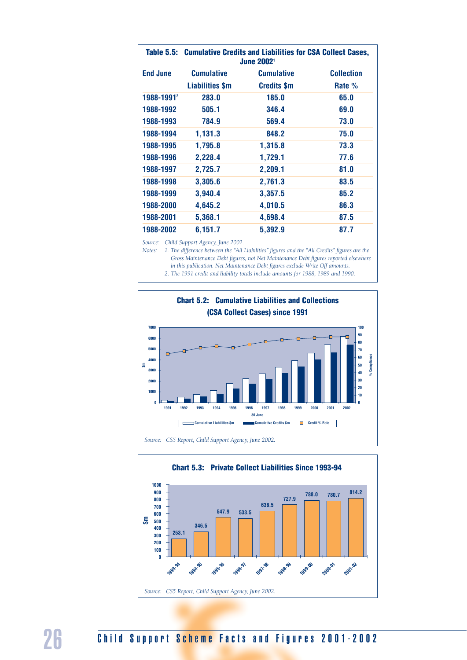| Table 5.5:             | <b>Cumulative Credits and Liabilities for CSA Collect Cases,</b><br><b>June 2002<sup>1</sup></b> |                    |                   |  |  |  |
|------------------------|--------------------------------------------------------------------------------------------------|--------------------|-------------------|--|--|--|
| <b>End June</b>        | <b>Cumulative</b>                                                                                | <b>Cumulative</b>  | <b>Collection</b> |  |  |  |
|                        | <b>Liabilities \$m</b>                                                                           | <b>Credits \$m</b> | Rate %            |  |  |  |
| 1988-1991 <sup>2</sup> | 283.0                                                                                            | 185.0              | 65.0              |  |  |  |
| 1988-1992              | 505.1                                                                                            | 346.4              | 69.0              |  |  |  |
| 1988-1993              | 784.9                                                                                            | 569.4              | 73.0              |  |  |  |
| 1988-1994              | 1,131.3                                                                                          | 848.2              | 75.0              |  |  |  |
| 1988-1995              | 1,795.8                                                                                          | 1,315.8            | 73.3              |  |  |  |
| 1988-1996              | 2,228.4                                                                                          | 1,729.1            | 77.6              |  |  |  |
| 1988-1997              | 2,725.7                                                                                          | 2,209.1            | 81.0              |  |  |  |
| 1988-1998              | 3,305.6                                                                                          | 2,761.3            | 83.5              |  |  |  |
| 1988-1999              | 3.940.4                                                                                          | 3,357.5            | 85.2              |  |  |  |
| 1988-2000              | 4.645.2                                                                                          | 4.010.5            | 86.3              |  |  |  |
| 1988-2001              | 5,368.1                                                                                          | 4,698.4            | 87.5              |  |  |  |
| 1988-2002              | 6,151.7                                                                                          | 5,392.9            | 87.7              |  |  |  |

*Source: Child Support Agency, June 2002.*

*Notes: 1. The difference between the "All Liabilities" figures and the "All Credits" figures are the Gross Maintenance Debt figures, not Net Maintenance Debt figures reported elsewhere in this publication. Net Maintenance Debt figures exclude Write Off amounts.*

*2. The 1991 credit and liability totals include amounts for 1988, 1989 and 1990.*



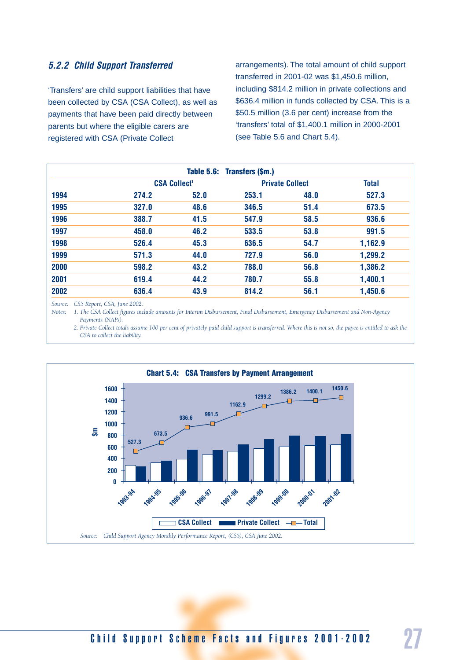#### *5.2.2 Child Support Transferred*

'Transfers' are child support liabilities that have been collected by CSA (CSA Collect), as well as payments that have been paid directly between parents but where the eligible carers are registered with CSA (Private Collect

arrangements). The total amount of child support transferred in 2001-02 was \$1,450.6 million, including \$814.2 million in private collections and \$636.4 million in funds collected by CSA. This is a \$50.5 million (3.6 per cent) increase from the 'transfers' total of \$1,400.1 million in 2000-2001 (see Table 5.6 and Chart 5.4).

|      |       |                                | Table 5.6: Transfers (\$m.) |                        |              |
|------|-------|--------------------------------|-----------------------------|------------------------|--------------|
|      |       | <b>CSA Collect<sup>1</sup></b> |                             | <b>Private Collect</b> | <b>Total</b> |
| 1994 | 274.2 | 52.0                           | 253.1                       | 48.0                   | 527.3        |
| 1995 | 327.0 | 48.6                           | 346.5                       | 51.4                   | 673.5        |
| 1996 | 388.7 | 41.5                           | 547.9                       | 58.5                   | 936.6        |
| 1997 | 458.0 | 46.2                           | 533.5                       | 53.8                   | 991.5        |
| 1998 | 526.4 | 45.3                           | 636.5                       | 54.7                   | 1,162.9      |
| 1999 | 571.3 | 44.0                           | 727.9                       | 56.0                   | 1,299.2      |
| 2000 | 598.2 | 43.2                           | 788.0                       | 56.8                   | 1,386.2      |
| 2001 | 619.4 | 44.2                           | 780.7                       | 55.8                   | 1,400.1      |
| 2002 | 636.4 | 43.9                           | 814.2                       | 56.1                   | 1,450.6      |

*Source: CS5 Report, CSA, June 2002.*

*Notes: 1. The CSA Collect figures include amounts for Interim Disbursement, Final Disbursement, Emergency Disbursement and Non-Agency Payments (NAPs).*

*2. Private Collect totals assume 100 per cent of privately paid child support is transferred. Where this is not so, the payee is entitled to ask the CSA to collect the liability.*

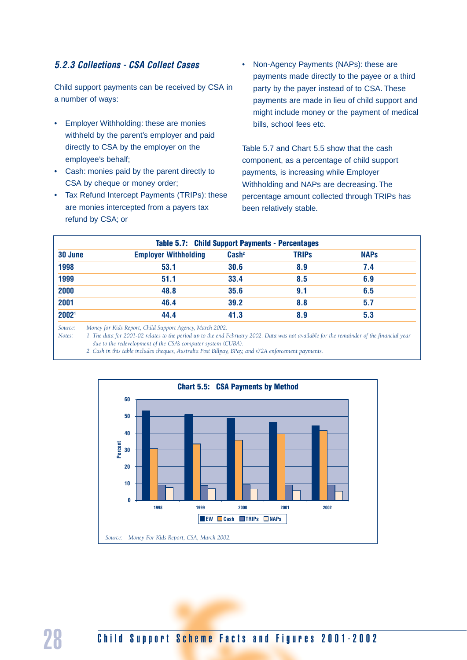#### *5.2.3 Collections - CSA Collect Cases*

Child support payments can be received by CSA in a number of ways:

- Employer Withholding: these are monies withheld by the parent's employer and paid directly to CSA by the employer on the employee's behalf;
- Cash: monies paid by the parent directly to CSA by cheque or money order;
- Tax Refund Intercept Payments (TRIPs): these are monies intercepted from a payers tax refund by CSA; or
- Non-Agency Payments (NAPs): these are payments made directly to the payee or a third party by the payer instead of to CSA. These payments are made in lieu of child support and might include money or the payment of medical bills, school fees etc.

Table 5.7 and Chart 5.5 show that the cash component, as a percentage of child support payments, is increasing while Employer Withholding and NAPs are decreasing. The percentage amount collected through TRIPs has been relatively stable.

| Table 5.7: Child Support Payments - Percentages |                             |           |              |             |  |  |
|-------------------------------------------------|-----------------------------|-----------|--------------|-------------|--|--|
| 30 June                                         | <b>Employer Withholding</b> | $\cosh^2$ | <b>TRIPS</b> | <b>NAPs</b> |  |  |
| 1998                                            | 53.1                        | 30.6      | 8.9          | 7.4         |  |  |
| 1999                                            | 51.1                        | 33.4      | 8.5          | 6.9         |  |  |
| 2000                                            | 48.8                        | 35.6      | 9.1          | 6.5         |  |  |
| 2001                                            | 46.4                        | 39.2      | 8.8          | 5.7         |  |  |
| 20021                                           | 44.4                        | 41.3      | 8.9          | 5.3         |  |  |

*Source: Money for Kids Report, Child Support Agency, March 2002.*

*Notes: 1. The data for 2001-02 relates to the period up to the end February 2002. Data was not available for the remainder of the financial year due to the redevelopment of the CSA's computer system (CUBA).*

*2. Cash in this table includes cheques, Australia Post Billpay, BPay, and s72A enforcement payments.*

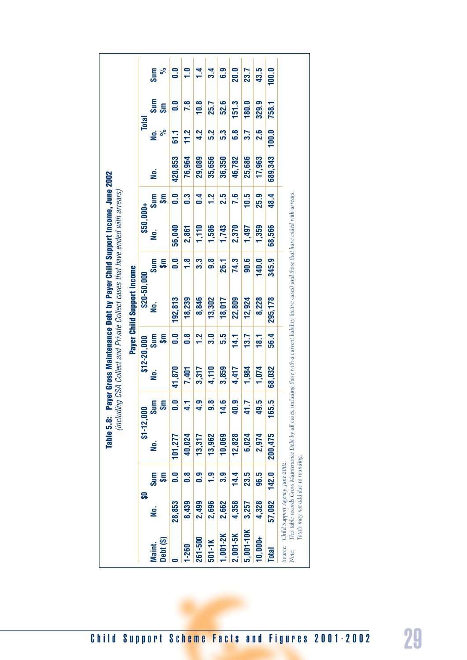|                  |                                     |                         |                                                                                                                                                         |                    |        |                   | Payer Child Support Income |                                 |           |                   |         |             |                   |                    |
|------------------|-------------------------------------|-------------------------|---------------------------------------------------------------------------------------------------------------------------------------------------------|--------------------|--------|-------------------|----------------------------|---------------------------------|-----------|-------------------|---------|-------------|-------------------|--------------------|
|                  | <b>SQ</b>                           |                         | $$1-12,000$                                                                                                                                             |                    |        | \$12-20,000       | \$20-50,000                |                                 | \$50,000+ |                   |         |             | Total             |                    |
| Maint.           | <u>ٰء</u>                           | $\sin$                  | ž                                                                                                                                                       | Sum                | ġ      | <b>Sum</b>        | ġ                          | sum                             | <u>ş</u>  | <b>Sum</b>        | .<br>2  | <u>g</u>    | sum               | sum                |
| Debt (\$)        |                                     | ఢ్                      |                                                                                                                                                         | <b>Sm</b>          |        | 옅                 |                            | \$                              |           | 5                 |         | ಸಿ          | 5                 |                    |
|                  | 28,853                              | $\mathbf{0}$ .          | 101,277                                                                                                                                                 | $\overline{0}$ . O | 41,870 | $\overline{0}$ .0 | 192,813                    | $\overline{0}$ . $\overline{0}$ | 56,040    | $\overline{0}$ .0 | 420,853 | <b>61.1</b> | $\overline{0}$ .0 |                    |
| $1 - 260$        | 8,439                               | 0.8                     | 024<br>$\overline{40}$                                                                                                                                  | 4.1                | 7,401  | $0.\overline{8}$  | 18,239                     | $\frac{8}{1}$                   | 2,861     | $0.\overline{3}$  | 76,964  | 11.2        | 7.8               |                    |
| 261-500          | 2,499                               | $\mathbf{0}.\mathbf{9}$ | 317<br>13,                                                                                                                                              | 4.9                | 3,317  | 1.2               | 8,846                      | 3.3                             | 1,110     | 0.4               | 29,089  | 4.2         | 10.8              | $\frac{4}{1}$      |
| $501 - 1K$       | 2,696                               | $\frac{9}{1}$           | 13,962                                                                                                                                                  | $9.\overline{8}$   | 4,110  | 3.0               | 13,302                     | $9.\overline{8}$                | 1,586     | 1.2               | 35,656  | 5.2         | 25.7              | 3.4                |
| $1,001 - 2K$     | 2,662                               | $3.\overline{9}$        | 10,069                                                                                                                                                  | 14.6               | 3,859  | 5.5               | 18,017                     | 26.1                            | 1,743     | 2.5               | 36,350  | 5.3         | 52.6              | $\overline{6}$ . 3 |
| $2,001 - 5K$     | 4,358                               | 14.4                    | 828<br>12,                                                                                                                                              | 40.9               | 4,417  | $\frac{14}{14}$   | 22,809                     | 74.3                            | 2,370     | 7.6               | 46,782  | 6.8         | 151.3             | 20.0               |
| 5,001-10K        | 3,257                               | 23.5                    | 024<br>$\overline{6}$                                                                                                                                   | 41.7               | 1,984  | 13.7              | 12,924                     | 90.6                            | 1,497     | 10.5              | 25,686  | 3.7         | 180.0             | 23.7               |
| $10,000+$        | 4,328                               | 96.5                    | 2,974                                                                                                                                                   | 49.5               | 1,074  | 18.1              | 8,228                      | 140.0                           | 1,359     | 25.9              | 17,963  | 2.6         | 329.9             | 43.5               |
| <b>Total</b>     | 57,092                              | 142.0                   | 200,475                                                                                                                                                 | 165.5              | 68,032 | 56.4              | 295,178                    | 345.9                           | 68,566    | 48.4              | 689,343 | 100.0       | 758.1             | 100.0              |
| Source:<br>Note: | Child Support Agency, June 2002.    |                         | This table records Gross Maintenance Debt by all cases, including those with a current liability (active cases) and those that have ended with arrears. |                    |        |                   |                            |                                 |           |                   |         |             |                   |                    |
|                  | Totals may not add due to rounding. |                         |                                                                                                                                                         |                    |        |                   |                            |                                 |           |                   |         |             |                   |                    |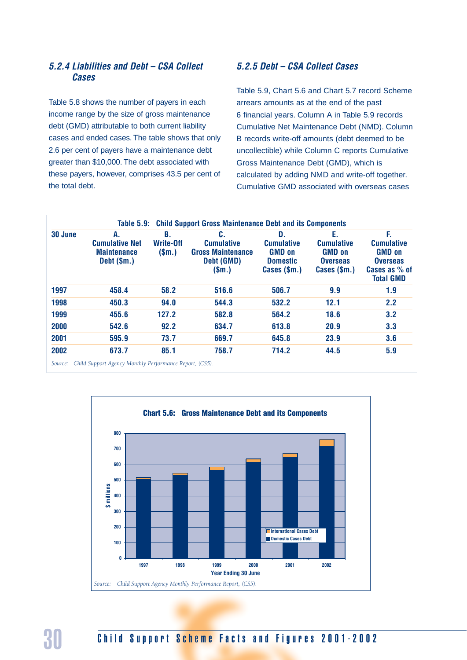#### *5.2.4 Liabilities and Debt – CSA Collect Cases*

Table 5.8 shows the number of payers in each income range by the size of gross maintenance debt (GMD) attributable to both current liability cases and ended cases. The table shows that only 2.6 per cent of payers have a maintenance debt greater than \$10,000. The debt associated with these payers, however, comprises 43.5 per cent of the total debt.

#### *5.2.5 Debt – CSA Collect Cases*

Table 5.9, Chart 5.6 and Chart 5.7 record Scheme arrears amounts as at the end of the past 6 financial years. Column A in Table 5.9 records Cumulative Net Maintenance Debt (NMD). Column B records write-off amounts (debt deemed to be uncollectible) while Column C reports Cumulative Gross Maintenance Debt (GMD), which is calculated by adding NMD and write-off together. Cumulative GMD associated with overseas cases

| 30 June | А.<br><b>Cumulative Net</b><br><b>Maintenance</b><br>Debt $(\$m.)$ | B.<br>Write-Off<br>(Sm.) | C.<br><b>Cumulative</b><br><b>Gross Maintenance</b><br>Debt (GMD)<br>\$m. | D.<br><b>Cumulative</b><br><b>GMD on</b><br><b>Domestic</b><br>Cases (\$m.) | Е.<br><b>Cumulative</b><br><b>GMD on</b><br><b>Overseas</b><br>Cases (\$m.) | F.<br><b>Cumulative</b><br><b>GMD on</b><br><b>Overseas</b><br>Cases as % of<br><b>Total GMD</b> |
|---------|--------------------------------------------------------------------|--------------------------|---------------------------------------------------------------------------|-----------------------------------------------------------------------------|-----------------------------------------------------------------------------|--------------------------------------------------------------------------------------------------|
| 1997    | 458.4                                                              | 58.2                     | 516.6                                                                     | 506.7                                                                       | 9.9                                                                         | 1.9                                                                                              |
| 1998    | 450.3                                                              | 94.0                     | 544.3                                                                     | 532.2                                                                       | 12.1                                                                        | 2.2                                                                                              |
| 1999    | 455.6                                                              | 127.2                    | 582.8                                                                     | 564.2                                                                       | 18.6                                                                        | 3.2                                                                                              |
| 2000    | 542.6                                                              | 92.2                     | 634.7                                                                     | 613.8                                                                       | 20.9                                                                        | 3.3                                                                                              |
| 2001    | 595.9                                                              | 73.7                     | 669.7                                                                     | 645.8                                                                       | 23.9                                                                        | 3.6                                                                                              |
| 2002    | 673.7                                                              | 85.1                     | 758.7                                                                     | 714.2                                                                       | 44.5                                                                        | 5.9                                                                                              |

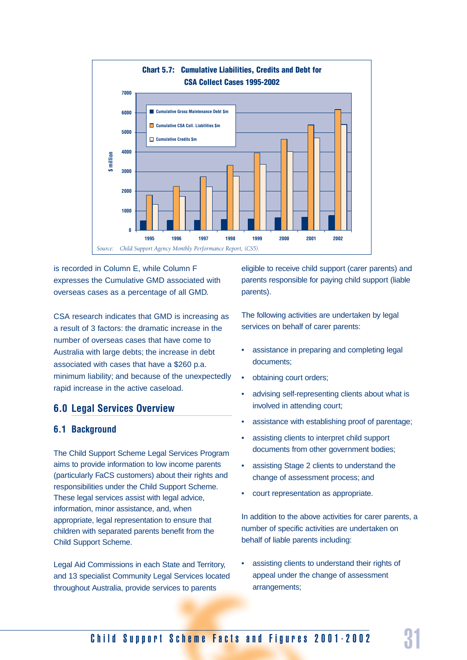

is recorded in Column E, while Column F expresses the Cumulative GMD associated with overseas cases as a percentage of all GMD.

CSA research indicates that GMD is increasing as a result of 3 factors: the dramatic increase in the number of overseas cases that have come to Australia with large debts; the increase in debt associated with cases that have a \$260 p.a. minimum liability; and because of the unexpectedly rapid increase in the active caseload.

#### **6.0 Legal Services Overview**

#### **6.1 Background**

The Child Support Scheme Legal Services Program aims to provide information to low income parents (particularly FaCS customers) about their rights and responsibilities under the Child Support Scheme. These legal services assist with legal advice, information, minor assistance, and, when appropriate, legal representation to ensure that children with separated parents benefit from the Child Support Scheme.

Legal Aid Commissions in each State and Territory, and 13 specialist Community Legal Services located throughout Australia, provide services to parents

eligible to receive child support (carer parents) and parents responsible for paying child support (liable parents).

The following activities are undertaken by legal services on behalf of carer parents:

- assistance in preparing and completing legal documents;
- obtaining court orders;
- advising self-representing clients about what is involved in attending court;
- assistance with establishing proof of parentage;
- assisting clients to interpret child support documents from other government bodies;
- assisting Stage 2 clients to understand the change of assessment process; and
- court representation as appropriate.

In addition to the above activities for carer parents, a number of specific activities are undertaken on behalf of liable parents including:

assisting clients to understand their rights of appeal under the change of assessment arrangements;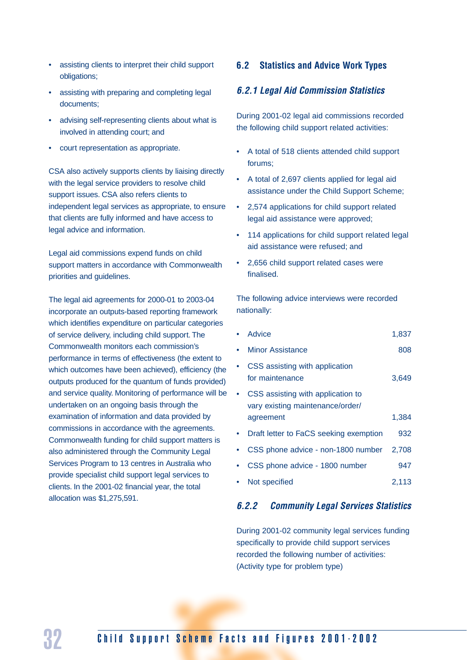- assisting clients to interpret their child support obligations;
- assisting with preparing and completing legal documents;
- advising self-representing clients about what is involved in attending court; and
- court representation as appropriate.

CSA also actively supports clients by liaising directly with the legal service providers to resolve child support issues. CSA also refers clients to independent legal services as appropriate, to ensure that clients are fully informed and have access to legal advice and information.

Legal aid commissions expend funds on child support matters in accordance with Commonwealth priorities and guidelines.

The legal aid agreements for 2000-01 to 2003-04 incorporate an outputs-based reporting framework which identifies expenditure on particular categories of service delivery, including child support. The Commonwealth monitors each commission's performance in terms of effectiveness (the extent to which outcomes have been achieved), efficiency (the outputs produced for the quantum of funds provided) and service quality. Monitoring of performance will be undertaken on an ongoing basis through the examination of information and data provided by commissions in accordance with the agreements. Commonwealth funding for child support matters is also administered through the Community Legal Services Program to 13 centres in Australia who provide specialist child support legal services to clients. In the 2001-02 financial year, the total allocation was \$1,275,591.

#### **6.2 Statistics and Advice Work Types**

#### *6.2.1 Legal Aid Commission Statistics*

During 2001-02 legal aid commissions recorded the following child support related activities:

- A total of 518 clients attended child support forums;
- A total of 2,697 clients applied for legal aid assistance under the Child Support Scheme;
- 2,574 applications for child support related legal aid assistance were approved;
- 114 applications for child support related legal aid assistance were refused; and
- 2,656 child support related cases were finalised.

The following advice interviews were recorded nationally:

| Advice                                                                             | 1,837 |
|------------------------------------------------------------------------------------|-------|
| <b>Minor Assistance</b>                                                            | 808   |
| CSS assisting with application<br>for maintenance                                  | 3.649 |
| CSS assisting with application to<br>vary existing maintenance/order/<br>agreement | 1,384 |
| Draft letter to FaCS seeking exemption                                             | 932   |
| CSS phone advice - non-1800 number                                                 | 2,708 |
| CSS phone advice - 1800 number                                                     | 947   |
| Not specified                                                                      | 2,113 |

#### *6.2.2 Community Legal Services Statistics*

During 2001-02 community legal services funding specifically to provide child support services recorded the following number of activities: (Activity type for problem type)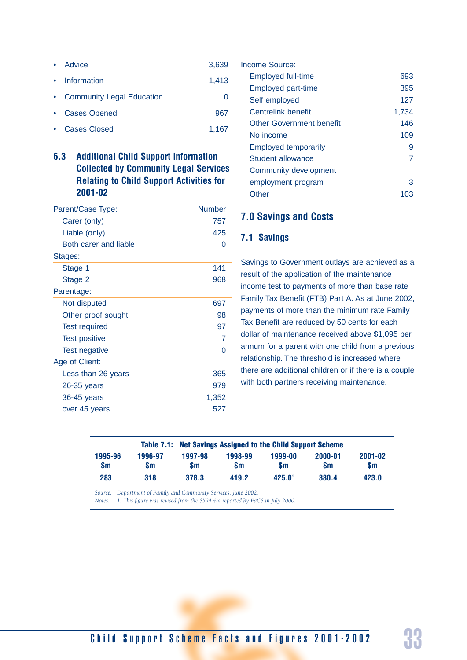| $\bullet$ | Advice                      | 3,639 |
|-----------|-----------------------------|-------|
|           | • Information               | 1,413 |
|           | • Community Legal Education | 0     |
|           | • Cases Opened              | 967   |
|           | • Cases Closed              | 1.167 |

#### **6.3 Additional Child Support Information Collected by Community Legal Services Relating to Child Support Activities for 2001-02**

| Parent/Case Type:     | <b>Number</b> |
|-----------------------|---------------|
| Carer (only)          | 757           |
| Liable (only)         | 425           |
| Both carer and liable | 0             |
| Stages:               |               |
| Stage 1               | 141           |
| Stage 2               | 968           |
| Parentage:            |               |
| Not disputed          | 697           |
| Other proof sought    | 98            |
| <b>Test required</b>  | 97            |
| <b>Test positive</b>  | 7             |
| <b>Test negative</b>  | 0             |
| Age of Client:        |               |
| Less than 26 years    | 365           |
| $26-35$ years         | 979           |
| 36-45 years           | 1,352         |
| over 45 years         | 527           |

#### Income Source: Employed full-time 693 Employed part-time 395 Self employed 127 Centrelink benefit 1,734 Other Government benefit 146 No income 109 Employed temporarily example the state of the state of the state of the state of the state of the state of the state of the state of the state of the state of the state of the state of the state of the state of the state o Student allowance 7 Community development employment program 3 Other 103

#### **7.0 Savings and Costs**

#### **7.1 Savings**

Savings to Government outlays are achieved as a result of the application of the maintenance income test to payments of more than base rate Family Tax Benefit (FTB) Part A. As at June 2002, payments of more than the minimum rate Family Tax Benefit are reduced by 50 cents for each dollar of maintenance received above \$1,095 per annum for a parent with one child from a previous relationship. The threshold is increased where there are additional children or if there is a couple with both partners receiving maintenance.

|                                                                 |                |                      | <b>Table 7.1: Net Savings Assigned to the Child Support Scheme</b> |                      |                      |                |
|-----------------------------------------------------------------|----------------|----------------------|--------------------------------------------------------------------|----------------------|----------------------|----------------|
| 1995-96<br>$\mathbf{Sm}$                                        | 1996-97<br>\$m | 1997-98<br><b>Sm</b> | 1998-99<br><b>Sm</b>                                               | 1999-00<br><b>Sm</b> | 2000-01<br><b>Sm</b> | 2001-02<br>\$m |
| 283                                                             | 318            | 378.3                | 419.2                                                              | 425.0 <sup>1</sup>   | 380.4                | 423.0          |
| Source: Department of Family and Community Services, June 2002. |                |                      |                                                                    |                      |                      |                |

*Notes: 1. This figure was revised from the \$594.4m reported by FaCS in July 2000.*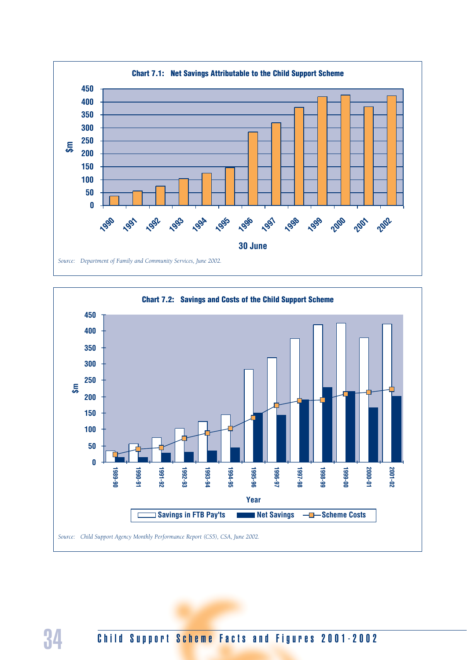



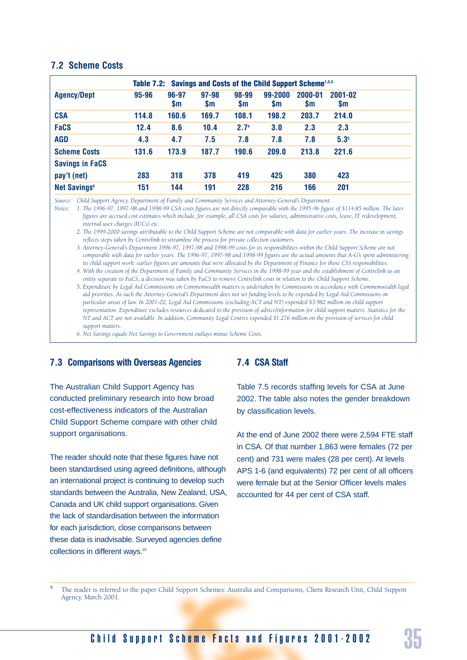#### **7.2 Scheme Costs**

|                                | Table 7.2: |              |              |                  | Savings and Costs of the Child Support Scheme <sup>1,2,3</sup> |                      |                    |
|--------------------------------|------------|--------------|--------------|------------------|----------------------------------------------------------------|----------------------|--------------------|
| <b>Agency/Dept</b>             | 95-96      | 96-97<br>\$m | 97-98<br>\$m | 98-99<br>\$m     | 99-2000<br><b>Sm</b>                                           | 2000-01<br><b>Sm</b> | $2001 - 02$<br>\$m |
| <b>CSA</b>                     | 114.8      | 160.6        | 169.7        | 108.1            | 198.2                                                          | 203.7                | 214.0              |
| <b>FaCS</b>                    | 12.4       | 8.6          | 10.4         | 2.7 <sup>4</sup> | 3.0                                                            | 2.3                  | 2.3                |
| <b>AGD</b>                     | 4.3        | 4.7          | 7.5          | 7.8              | 7.8                                                            | 7.8                  | 5.3 <sup>5</sup>   |
| <b>Scheme Costs</b>            | 131.6      | 173.9        | 187.7        | 190.6            | 209.0                                                          | 213.8                | 221.6              |
| <b>Savings in FaCS</b>         |            |              |              |                  |                                                                |                      |                    |
| pay't (net)                    | 283        | 318          | 378          | 419              | 425                                                            | 380                  | 423                |
| <b>Net Savings<sup>6</sup></b> | 151        | 144          | 191          | 228              | 216                                                            | 166                  | 201                |
|                                |            |              |              |                  |                                                                |                      |                    |

*Source: Child Support Agency, Department of Family and Community Services and Attorney-General's Department.*

*Notes: 1. The 1996-97, 1997-98 and 1998-99 CSA costs figures are not directly comparable with the 1995-96 figure of \$114.85 million. The later figures are accrued cost estimates which include, for example, all CSA costs for salaries, administrative costs, leave, IT redevelopment, internal user charges (IUCs) etc.*

*2. The 1999-2000 savings attributable to the Child Support Scheme are not comparable with data for earlier years. The increase in savings reflects steps taken by Centrelink to streamline the process for private collection customers.*

*3. Attorney-General's Department 1996-97, 1997-98 and 1998-99 costs for its responsibilities within the Child Support Scheme are not comparable with data for earlier years. The 1996-97, 1997-98 and 1998-99 figures are the actual amounts that A-G's spent administering its child support work: earlier figures are amounts that were allocated by the Department of Finance for those CSS responsibilities.*

*4. With the creation of the Department of Family and Community Services in the 1998-99 year and the establishment of Centrelink as an entity separate to FaCS, a decision was taken by FaCS to remove Centrelink costs in relation to the Child Support Scheme.*

*5. Expenditure by Legal Aid Commissions on Commonwealth matters is undertaken by Commissions in accordance with Commonwealth legal aid priorities. As such the Attorney-General's Department does not set funding levels to be expended by Legal Aid Commissions on particular areas of law. In 2001-02, Legal Aid Commissions (excluding ACT and NT) expended \$3.982 million on child support representation. Expenditure excludes resources dedicated to the provision of advice/information for child support matters. Statistics for the NT and ACT are not available. In addition, Community Legal Centres expended \$1.276 million on the provision of services for child support matters.*

*6. Net Savings equals Net Savings to Government outlays minus Scheme Costs.*

#### **7.3 Comparisons with Overseas Agencies**

#### **7.4 CSA Staff**

The Australian Child Support Agency has conducted preliminary research into how broad cost-effectiveness indicators of the Australian Child Support Scheme compare with other child support organisations.

The reader should note that these figures have not been standardised using agreed definitions, although an international project is continuing to develop such standards between the Australia, New Zealand, USA, Canada and UK child support organisations. Given the lack of standardisation between the information for each jurisdiction, close comparisons between these data is inadvisable. Surveyed agencies define collections in different ways.<sup>10</sup>

Table 7.5 records staffing levels for CSA at June 2002. The table also notes the gender breakdown by classification levels.

At the end of June 2002 there were 2,594 FTE staff in CSA. Of that number 1,863 were females (72 per cent) and 731 were males (28 per cent). At levels APS 1-6 (and equivalents) 72 per cent of all officers were female but at the Senior Officer levels males accounted for 44 per cent of CSA staff.

<sup>9</sup> The reader is referred to the paper Child Support Schemes: Australia and Comparisons, Client Research Unit, Child Support Agency, March 2001.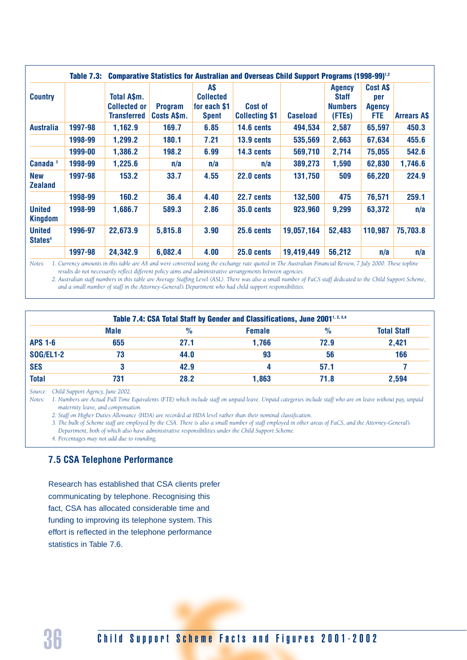|                                      | Table 7.3: |                                                                 |                               |                                                         | Comparative Statistics for Australian and Overseas Child Support Programs (1998-99) <sup>1,2</sup> |                 |                                                    |                                         |                   |
|--------------------------------------|------------|-----------------------------------------------------------------|-------------------------------|---------------------------------------------------------|----------------------------------------------------------------------------------------------------|-----------------|----------------------------------------------------|-----------------------------------------|-------------------|
| <b>Country</b>                       |            | <b>Total A\$m.</b><br><b>Collected or</b><br><b>Transferred</b> | <b>Program</b><br>Costs A\$m. | A\$<br><b>Collected</b><br>for each \$1<br><b>Spent</b> | Cost of<br><b>Collecting \$1</b>                                                                   | <b>Caseload</b> | Agency<br><b>Staff</b><br><b>Numbers</b><br>(FTEs) | Cost AS<br>per<br><b>Agency</b><br>FTE. | <b>Arrears AS</b> |
| <b>Australia</b>                     | 1997-98    | 1.162.9                                                         | 169.7                         | 6.85                                                    | $14.6$ cents                                                                                       | 494.534         | 2.587                                              | 65.597                                  | 450.3             |
|                                      | 1998-99    | 1.299.2                                                         | 180.1                         | 7.21                                                    | $13.9$ cents                                                                                       | 535.569         | 2,663                                              | 67,634                                  | 455.6             |
|                                      | 1999-00    | 1,386.2                                                         | 198.2                         | 6.99                                                    | $14.3$ cents                                                                                       | 569,710         | 2,714                                              | 75,055                                  | 542.6             |
| Canada <sup>3</sup>                  | 1998-99    | 1.225.6                                                         | n/a                           | n/a                                                     | n/a                                                                                                | 389,273         | 1.590                                              | 62.830                                  | 1.746.6           |
| <b>New</b><br><b>Zealand</b>         | 1997-98    | 153.2                                                           | 33.7                          | 4.55                                                    | 22.0 cents                                                                                         | 131.750         | 509                                                | 66.220                                  | 224.9             |
|                                      | 1998-99    | 160.2                                                           | 36.4                          | 4.40                                                    | 22.7 cents                                                                                         | 132,500         | 475                                                | 76.571                                  | 259.1             |
| <b>United</b><br><b>Kingdom</b>      | 1998-99    | 1,686.7                                                         | 589.3                         | 2.86                                                    | <b>35.0 cents</b>                                                                                  | 923.960         | 9,299                                              | 63.372                                  | n/a               |
| <b>United</b><br>States <sup>4</sup> | 1996-97    | 22,673.9                                                        | 5.815.8                       | 3.90                                                    | 25.6 cents                                                                                         | 19.057.164      | 52.483                                             | 110.987                                 | 75.703.8          |
|                                      | 1997-98    | 24.342.9                                                        | 6.082.4                       | 4.00                                                    | 25.0 cents                                                                                         | 19.419.449      | 56,212                                             | n/a                                     | n/a               |

*Notes: 1. Currency amounts in this table are A\$ and were converted using the exchange rate quoted in The Australian Financial Review, 7 July 2000. These topline results do not necessarily reflect different policy aims and administrative arrangements between agencies.*

*2. Australian staff numbers in this table are Average Staffing Level (ASL). There was also a small number of FaCS staff dedicated to the Child Support Scheme, and a small number of staff in the Attorney-General's Department who had child support responsibilities.* 

| Table 7.4: CSA Total Staff by Gender and Classifications, June 2001 <sup>1, 2, 3,4</sup> |      |      |               |               |                    |
|------------------------------------------------------------------------------------------|------|------|---------------|---------------|--------------------|
|                                                                                          | Male | $\%$ | <b>Female</b> | $\frac{0}{0}$ | <b>Total Staff</b> |
| <b>APS 1-6</b>                                                                           | 655  | 27.1 | 1.766         | 72.9          | 2.421              |
| <b>SOG/EL1-2</b>                                                                         | 73   | 44.0 | 93            | 56            | 166                |
| <b>SES</b>                                                                               |      | 42.9 |               | 57.1          |                    |
| <b>Total</b>                                                                             | 731  | 28.2 | 1.863         | 71.8          | 2,594              |

*Source: Child Support Agency, June 2002.*

*Notes: 1. Numbers are Actual Full Time Equivalents (FTE) which include staff on unpaid leave. Unpaid categories include staff who are on leave without pay, unpaid maternity leave, and compensation.*

*2. Staff on Higher Duties Allowance (HDA) are recorded at HDA level rather than their nominal classification.*

*3. The bulk of Scheme staff are employed by the CSA. There is also a small number of staff employed in other areas of FaCS, and the Attorney-General's Department, both of which also have administrative responsibilities under the Child Support Scheme.*

*4. Percentages may not add due to rounding.*

#### **7.5 CSA Telephone Performance**

Research has established that CSA clients prefer communicating by telephone. Recognising this fact, CSA has allocated considerable time and funding to improving its telephone system. This effort is reflected in the telephone performance statistics in Table 7.6.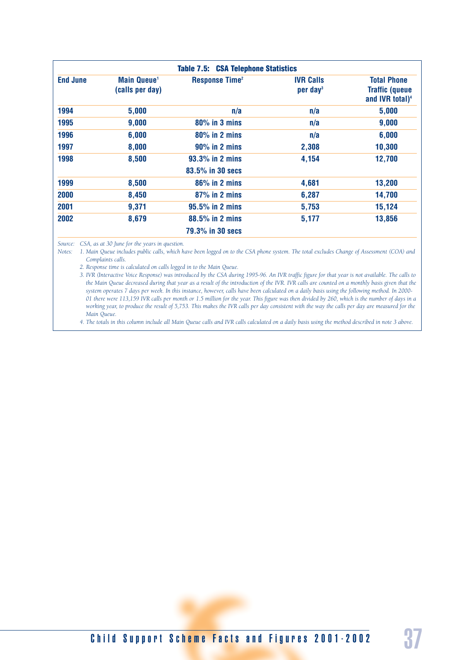| <b>Table 7.5: CSA Telephone Statistics</b> |                                            |                                  |                                          |                                                                            |
|--------------------------------------------|--------------------------------------------|----------------------------------|------------------------------------------|----------------------------------------------------------------------------|
| <b>End June</b>                            | Main Queue <sup>1</sup><br>(calls per day) | <b>Response Time<sup>2</sup></b> | <b>IVR Calls</b><br>per day <sup>3</sup> | <b>Total Phone</b><br><b>Traffic (queue</b><br>and IVR total) <sup>4</sup> |
| 1994                                       | 5.000                                      | n/a                              | n/a                                      | 5,000                                                                      |
| 1995                                       | 9,000                                      | $80\%$ in 3 mins                 | n/a                                      | 9,000                                                                      |
| 1996                                       | 6,000                                      | $80\%$ in 2 mins                 | n/a                                      | 6,000                                                                      |
| 1997                                       | 8,000                                      | $90\%$ in 2 mins                 | 2,308                                    | 10,300                                                                     |
| 1998                                       | 8.500                                      | $93.3\%$ in 2 mins               | 4.154                                    | 12,700                                                                     |
|                                            |                                            | $83.5\%$ in 30 secs              |                                          |                                                                            |
| 1999                                       | 8,500                                      | $86\%$ in 2 mins                 | 4,681                                    | 13,200                                                                     |
| 2000                                       | 8,450                                      | $87\%$ in 2 mins                 | 6,287                                    | 14,700                                                                     |
| 2001                                       | 9.371                                      | $95.5\%$ in 2 mins               | 5,753                                    | 15,124                                                                     |
| 2002                                       | 8.679                                      | $88.5\%$ in 2 mins               | 5,177                                    | 13,856                                                                     |
|                                            |                                            | 79.3% in 30 secs                 |                                          |                                                                            |

*Source: CSA, as at 30 June for the years in question.*

*Notes: 1. Main Queue includes public calls, which have been logged on to the CSA phone system. The total excludes Change of Assessment (COA) and Complaints calls.*

*2. Response time is calculated on calls logged in to the Main Queue.*

*3. IVR (Interactive Voice Response) was introduced by the CSA during 1995-96. An IVR traffic figure for that year is not available. The calls to the Main Queue decreased during that year as a result of the introduction of the IVR. IVR calls are counted on a monthly basis given that the system operates 7 days per week. In this instance, however, calls have been calculated on a daily basis using the following method. In 2000- 01 there were 113,159 IVR calls per month or 1.5 million for the year. This figure was then divided by 260, which is the number of days in a working year, to produce the result of 5,753. This makes the IVR calls per day consistent with the way the calls per day are measured for the Main Queue.*

*4. The totals in this column include all Main Queue calls and IVR calls calculated on a daily basis using the method described in note 3 above.*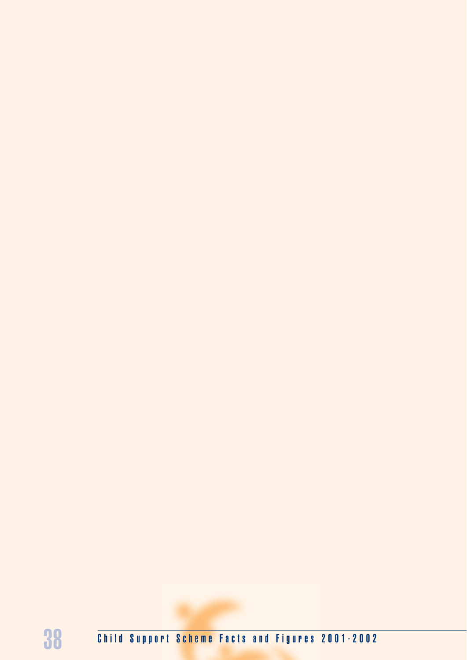

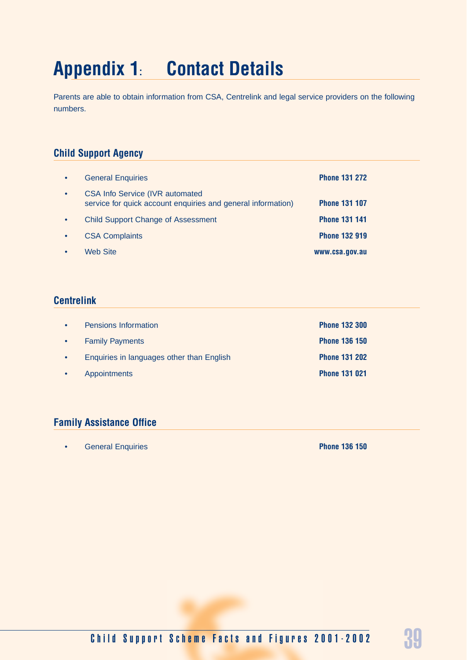## **Appendix 1: Contact Details**

Parents are able to obtain information from CSA, Centrelink and legal service providers on the following numbers.

#### **Child Support Agency**

| $\bullet$ | <b>General Enquiries</b>                                                                                | <b>Phone 131 272</b> |
|-----------|---------------------------------------------------------------------------------------------------------|----------------------|
| $\bullet$ | <b>CSA Info Service (IVR automated)</b><br>service for quick account enquiries and general information) | <b>Phone 131 107</b> |
| $\bullet$ | <b>Child Support Change of Assessment</b>                                                               | <b>Phone 131 141</b> |
| $\bullet$ | <b>CSA Complaints</b>                                                                                   | <b>Phone 132 919</b> |
|           | <b>Web Site</b>                                                                                         | www.csa.gov.au       |

#### **Centrelink**

| $\bullet$ | Pensions Information                      | <b>Phone 132 300</b> |
|-----------|-------------------------------------------|----------------------|
|           | <b>Family Payments</b>                    | <b>Phone 136 150</b> |
| $\bullet$ | Enquiries in languages other than English | <b>Phone 131 202</b> |
|           | Appointments                              | <b>Phone 131 021</b> |

#### **Family Assistance Office**

• General Enquiries **Phone 136 150**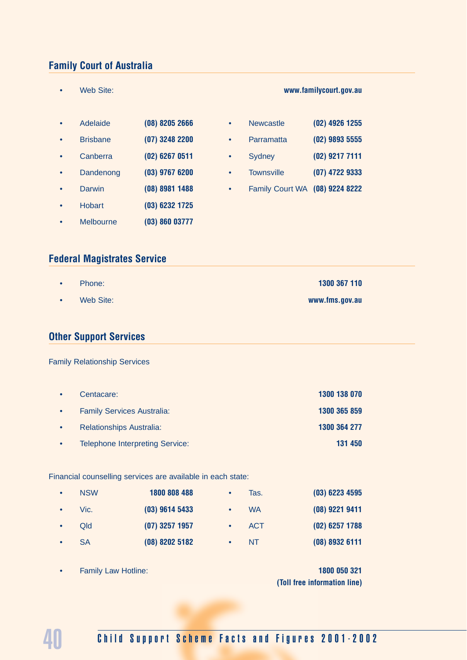#### **Family Court of Australia**

#### • Web Site: **www.familycourt.gov.au**

• Adelaide **(08) 8205 2666** • Newcastle **(02) 4926 1255**

• Brisbane **(07) 3248 2200** • Parramatta **(02) 9893 5555**

| $\bullet$ | Adelaide        | $(08)$ 8205 2666 |
|-----------|-----------------|------------------|
| $\bullet$ | <b>Brisbane</b> | $(07)$ 3248 2200 |

- Canberra **(02) 6267 0511** Sydney **(02) 9217 7111**
- Dandenong **(03) 9767 6200** Townsville **(07) 4722 9333**
- Darwin **(08) 8981 1488** Family Court WA **(08) 9224 8222**
- Hobart **(03) 6232 1725**
- Melbourne **(03) 860 03777**

#### **Federal Magistrates Service**

• Phone: **1300 367 110** • Web Site: **www.fms.gov.au**

#### **Other Support Services**

#### Family Relationship Services

| $\bullet$ | Centacare:                        | 1300 138 070 |
|-----------|-----------------------------------|--------------|
| $\bullet$ | <b>Family Services Australia:</b> | 1300 365 859 |
| $\bullet$ | <b>Relationships Australia:</b>   | 1300 364 277 |
| $\bullet$ | Telephone Interpreting Service:   | 131 450      |

Financial counselling services are available in each state:

| <b>NSW</b> | 1800 808 488     | $\bullet$ | Tas.       | $(03)$ 6223 4595 |
|------------|------------------|-----------|------------|------------------|
| Vic. .     | $(03)$ 9614 5433 | $\bullet$ | <b>WA</b>  | $(08)$ 9221 9411 |
| <b>Qld</b> | $(07)$ 3257 1957 | $\bullet$ | <b>ACT</b> | $(02)$ 6257 1788 |
| <b>SA</b>  | (08) 8202 5182   | $\bullet$ | NT         | $(08)$ 8932 6111 |

• Family Law Hotline: **1800 050 321 (Toll free information line)**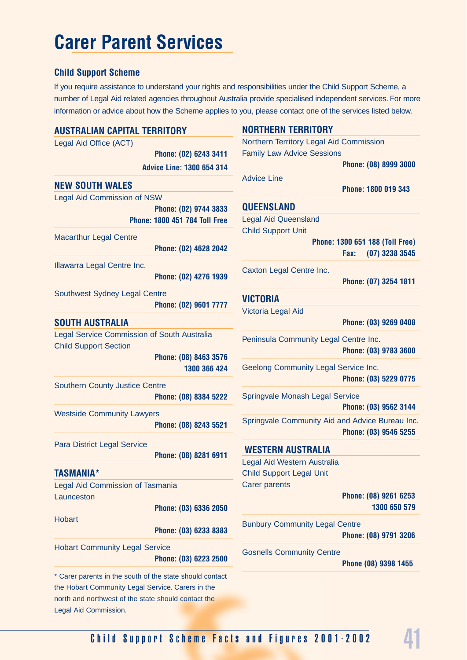## **Carer Parent Services**

#### **Child Support Scheme**

If you require assistance to understand your rights and responsibilities under the Child Support Scheme, a number of Legal Aid related agencies throughout Australia provide specialised independent services. For more information or advice about how the Scheme applies to you, please contact one of the services listed below.

| <b>AUSTRALIAN CAPITAL TERRITORY</b>                                                                      |                                      | <b>NORTHERN TERRITORY</b>                       |                                       |  |  |  |
|----------------------------------------------------------------------------------------------------------|--------------------------------------|-------------------------------------------------|---------------------------------------|--|--|--|
| Legal Aid Office (ACT)                                                                                   |                                      | Northern Territory Legal Aid Commission         |                                       |  |  |  |
|                                                                                                          | Phone: (02) 6243 3411                | <b>Family Law Advice Sessions</b>               |                                       |  |  |  |
|                                                                                                          | <b>Advice Line: 1300 654 314</b>     |                                                 | Phone: (08) 8999 3000                 |  |  |  |
| <b>NEW SOUTH WALES</b>                                                                                   |                                      | <b>Advice Line</b>                              |                                       |  |  |  |
| <b>Legal Aid Commission of NSW</b>                                                                       |                                      |                                                 | Phone: 1800 019 343                   |  |  |  |
|                                                                                                          | Phone: (02) 9744 3833                | <b>QUEENSLAND</b>                               |                                       |  |  |  |
|                                                                                                          | <b>Phone: 1800 451 784 Toll Free</b> | <b>Legal Aid Queensland</b>                     |                                       |  |  |  |
| <b>Macarthur Legal Centre</b>                                                                            |                                      | <b>Child Support Unit</b>                       |                                       |  |  |  |
|                                                                                                          | Phone: (02) 4628 2042                |                                                 | Phone: 1300 651 188 (Toll Free)       |  |  |  |
|                                                                                                          |                                      | Fax:                                            | $(07)$ 3238 3545                      |  |  |  |
| Illawarra Legal Centre Inc.                                                                              |                                      | Caxton Legal Centre Inc.                        |                                       |  |  |  |
|                                                                                                          | Phone: (02) 4276 1939                |                                                 | Phone: (07) 3254 1811                 |  |  |  |
| Southwest Sydney Legal Centre                                                                            |                                      | <b>VICTORIA</b>                                 |                                       |  |  |  |
|                                                                                                          | Phone: (02) 9601 7777                | Victoria Legal Aid                              |                                       |  |  |  |
| <b>SOUTH AUSTRALIA</b>                                                                                   |                                      |                                                 | Phone: (03) 9269 0408                 |  |  |  |
| Legal Service Commission of South Australia                                                              |                                      | Peninsula Community Legal Centre Inc.           |                                       |  |  |  |
| <b>Child Support Section</b>                                                                             | Phone: (08) 8463 3576                | Phone: (03) 9783 3600                           |                                       |  |  |  |
|                                                                                                          |                                      |                                                 |                                       |  |  |  |
|                                                                                                          | 1300 366 424                         | Geelong Community Legal Service Inc.            | Phone: (03) 5229 0775                 |  |  |  |
| <b>Southern County Justice Centre</b>                                                                    |                                      |                                                 |                                       |  |  |  |
|                                                                                                          | Phone: (08) 8384 5222                | Springvale Monash Legal Service                 |                                       |  |  |  |
| <b>Westside Community Lawyers</b>                                                                        |                                      | Phone: (03) 9562 3144                           |                                       |  |  |  |
|                                                                                                          | Phone: (08) 8243 5521                | Springvale Community Aid and Advice Bureau Inc. |                                       |  |  |  |
|                                                                                                          |                                      |                                                 | Phone: (03) 9546 5255                 |  |  |  |
| Para District Legal Service                                                                              | Phone: (08) 8281 6911                | <b>WESTERN AUSTRALIA</b>                        |                                       |  |  |  |
|                                                                                                          |                                      | Legal Aid Western Australia                     |                                       |  |  |  |
| <b>TASMANIA*</b>                                                                                         |                                      | <b>Child Support Legal Unit</b>                 |                                       |  |  |  |
| Legal Aid Commission of Tasmania                                                                         |                                      | <b>Carer parents</b>                            |                                       |  |  |  |
| Launceston                                                                                               | Phone: (03) 6336 2050                |                                                 | Phone: (08) 9261 6253<br>1300 650 579 |  |  |  |
| Hobart                                                                                                   |                                      |                                                 |                                       |  |  |  |
|                                                                                                          | Phone: (03) 6233 8383                | <b>Bunbury Community Legal Centre</b>           |                                       |  |  |  |
|                                                                                                          |                                      |                                                 | Phone: (08) 9791 3206                 |  |  |  |
| <b>Hobart Community Legal Service</b><br>Phone: (03) 6223 2500                                           |                                      | <b>Gosnells Community Centre</b>                |                                       |  |  |  |
|                                                                                                          |                                      |                                                 | Phone (08) 9398 1455                  |  |  |  |
| * Carer parents in the south of the state should contact                                                 |                                      |                                                 |                                       |  |  |  |
| the Hobart Community Legal Service. Carers in the<br>north and northwest of the state should contact the |                                      |                                                 |                                       |  |  |  |
| Legal Aid Commission.                                                                                    |                                      |                                                 |                                       |  |  |  |
|                                                                                                          |                                      |                                                 |                                       |  |  |  |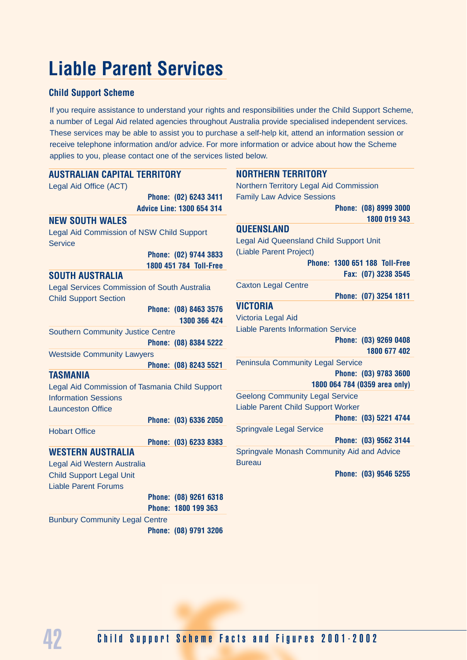## **Liable Parent Services**

#### **Child Support Scheme**

If you require assistance to understand your rights and responsibilities under the Child Support Scheme, a number of Legal Aid related agencies throughout Australia provide specialised independent services. These services may be able to assist you to purchase a self-help kit, attend an information session or receive telephone information and/or advice. For more information or advice about how the Scheme applies to you, please contact one of the services listed below.

| <b>AUSTRALIAN CAPITAL TERRITORY</b>            |                                  | <b>NORTHERN TERRITORY</b>                  |
|------------------------------------------------|----------------------------------|--------------------------------------------|
| Legal Aid Office (ACT)                         |                                  | Northern Territory Legal Aid Commission    |
|                                                | Phone: (02) 6243 3411            | <b>Family Law Advice Sessions</b>          |
|                                                | <b>Advice Line: 1300 654 314</b> | Phone: (08) 8999 3000                      |
| <b>NEW SOUTH WALES</b>                         |                                  | 1800 019 343                               |
| Legal Aid Commission of NSW Child Support      |                                  | <b>QUEENSLAND</b>                          |
| <b>Service</b>                                 |                                  | Legal Aid Queensland Child Support Unit    |
|                                                | Phone: (02) 9744 3833            | (Liable Parent Project)                    |
|                                                | 1800 451 784 Toll-Free           | <b>Phone: 1300 651 188 Toll-Free</b>       |
| <b>SOUTH AUSTRALIA</b>                         |                                  | Fax: (07) 3238 3545                        |
| Legal Services Commission of South Australia   |                                  | <b>Caxton Legal Centre</b>                 |
| <b>Child Support Section</b>                   |                                  | Phone: (07) 3254 1811<br><b>VICTORIA</b>   |
|                                                | Phone: (08) 8463 3576            | Victoria Legal Aid                         |
|                                                | 1300 366 424                     | <b>Liable Parents Information Service</b>  |
| <b>Southern Community Justice Centre</b>       |                                  | Phone: (03) 9269 0408                      |
|                                                | Phone: (08) 8384 5222            | 1800 677 402                               |
| <b>Westside Community Lawyers</b>              |                                  | Peninsula Community Legal Service          |
| <b>TASMANIA</b>                                | Phone: (08) 8243 5521            | Phone: (03) 9783 3600                      |
| Legal Aid Commission of Tasmania Child Support |                                  | 1800 064 784 (0359 area only)              |
| <b>Information Sessions</b>                    |                                  | <b>Geelong Community Legal Service</b>     |
| <b>Launceston Office</b>                       |                                  | Liable Parent Child Support Worker         |
|                                                | Phone: (03) 6336 2050            | Phone: (03) 5221 4744                      |
| <b>Hobart Office</b>                           |                                  | <b>Springvale Legal Service</b>            |
|                                                | Phone: (03) 6233 8383            | Phone: (03) 9562 3144                      |
| <b>WESTERN AUSTRALIA</b>                       |                                  | Springvale Monash Community Aid and Advice |
| Legal Aid Western Australia                    |                                  | <b>Bureau</b>                              |
| <b>Child Support Legal Unit</b>                |                                  | Phone: (03) 9546 5255                      |
| <b>Liable Parent Forums</b>                    |                                  |                                            |
|                                                | Phone: (08) 9261 6318            |                                            |
|                                                | Phone: 1800 199 363              |                                            |
| <b>Bunbury Community Legal Centre</b>          |                                  |                                            |
|                                                | Phone: (08) 9791 3206            |                                            |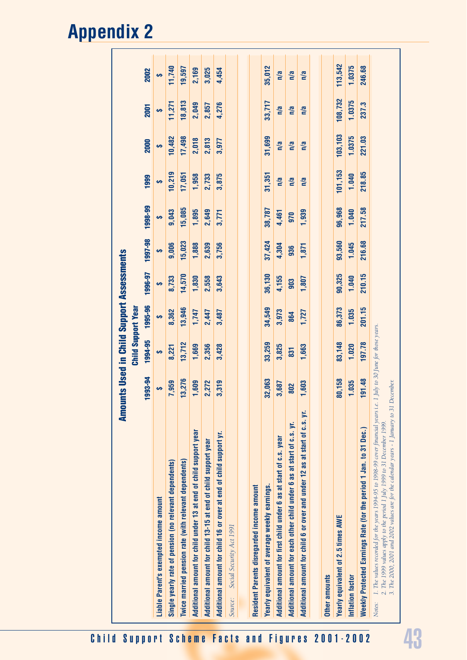## **Appendix 2**

| n/a<br>n/a<br>n/a<br>₩<br>108,732<br>33,717<br>1.0375<br>18,813<br>237.3<br>11,271<br>2,049<br>4,276<br>2,857<br>2001<br>n/a<br>n/a<br>n/a<br>↔<br>103,103<br>31,699<br>1.0375<br>17,498<br>10,482<br>221.03<br>2,018<br>2,813<br>3,977<br>2000<br>n/a<br>n/a<br>n/a<br>Ø<br>101,153<br>218.85<br>10,219<br>31,351<br>17,051<br>1,958<br>2,733<br>3,875<br>1.040<br>1999<br>n/a<br>n/a<br>n/a<br>↮<br>1998-99<br>96,968<br>15,085<br>217.58<br>38,787<br>9,043<br>1,895<br>2,649<br>1,939<br>1.040<br>3,771<br>4,461<br>970<br>€Ą<br>1997-98<br>37,424<br>93,560<br>216.68<br>15,023<br>9,006<br>1,888<br>2,639<br>3,756<br>4,304<br>1.045<br>1,871<br>936<br>€Ą<br>1996-97<br>36,130<br>90,325<br>210.15<br>14,570<br>1,830<br>2,558<br>4,155<br>1.040<br>8,733<br>3,643<br>1,807<br>903<br>€Ą<br>1995-96<br>34,549<br>13,946<br>86,373<br>201.15<br>3,973<br>1.035<br>8,362<br>2,447<br>1,747<br>3,487<br>1,727<br>864<br>မာ<br>1. The values recorded for the years 1994-95 to 1998-99 cover financial years i.e. 1 July to 30 June for those years.<br>1994-95<br>33,259<br>83,148<br>197.78<br>13,712<br>1,669<br>2,356<br>3,825<br>1.020<br>3,428<br>1,663<br>8,221<br>831<br>မာ<br>1993-94<br>80,158<br>13,276<br>32,063<br>191.48<br>1,609<br>7,959<br>2,272<br>3,319<br>1.035<br>3,687<br>1,603<br>3. The 2000, 2001 and 2002 values are for the calendar years - 1 January to 31 December.<br>802<br>မာ<br>Additional amount for child 6 or over and under 12 as at start of c.s. yr.<br>2. The 1999 values apply to the period 1 July 1999 to 31 December 1999.<br>C.S. VI.<br>Dec.)<br>year<br>Additional amount for child 16 or over at end of child support yr.<br>Additional amount for first child under 6 as at start of c.s. year<br>Additional amount for child 13-15 at end of child support year<br>Additional amount for child under 13 at end of child support<br>Additional amount for each other child under 6 as at start of<br>Weekly Protected Earnings Rate (for the period 1 Jan. to 31<br>Twice married pension rate (with relevant dependents)<br>Single yearly rate of pension (no relevant dependents)<br>Yearly equivalent of average weekly earnings.<br>Resident Parents disregarded income amount<br>Liable Parent's exempted income amount<br>Yearly equivalent of 2.5 times AWE<br>Social Security Act 1991<br>Other amounts<br>Inflation factor<br>Source:<br>Notes: | <b>Amounts Used in Child Support Assessments</b> | <b>Child Support Year</b> |  |  |  |         |
|---------------------------------------------------------------------------------------------------------------------------------------------------------------------------------------------------------------------------------------------------------------------------------------------------------------------------------------------------------------------------------------------------------------------------------------------------------------------------------------------------------------------------------------------------------------------------------------------------------------------------------------------------------------------------------------------------------------------------------------------------------------------------------------------------------------------------------------------------------------------------------------------------------------------------------------------------------------------------------------------------------------------------------------------------------------------------------------------------------------------------------------------------------------------------------------------------------------------------------------------------------------------------------------------------------------------------------------------------------------------------------------------------------------------------------------------------------------------------------------------------------------------------------------------------------------------------------------------------------------------------------------------------------------------------------------------------------------------------------------------------------------------------------------------------------------------------------------------------------------------------------------------------------------------------------------------------------------------------------------------------------------------------------------------------------------------------------------------------------------------------------------------------------------------------------------------------------------------------------------------------------------------------------------------------------------------------------------------------------------------------------------------------------------|--------------------------------------------------|---------------------------|--|--|--|---------|
|                                                                                                                                                                                                                                                                                                                                                                                                                                                                                                                                                                                                                                                                                                                                                                                                                                                                                                                                                                                                                                                                                                                                                                                                                                                                                                                                                                                                                                                                                                                                                                                                                                                                                                                                                                                                                                                                                                                                                                                                                                                                                                                                                                                                                                                                                                                                                                                                               |                                                  |                           |  |  |  | 2002    |
|                                                                                                                                                                                                                                                                                                                                                                                                                                                                                                                                                                                                                                                                                                                                                                                                                                                                                                                                                                                                                                                                                                                                                                                                                                                                                                                                                                                                                                                                                                                                                                                                                                                                                                                                                                                                                                                                                                                                                                                                                                                                                                                                                                                                                                                                                                                                                                                                               |                                                  |                           |  |  |  |         |
|                                                                                                                                                                                                                                                                                                                                                                                                                                                                                                                                                                                                                                                                                                                                                                                                                                                                                                                                                                                                                                                                                                                                                                                                                                                                                                                                                                                                                                                                                                                                                                                                                                                                                                                                                                                                                                                                                                                                                                                                                                                                                                                                                                                                                                                                                                                                                                                                               |                                                  |                           |  |  |  | 11,740  |
|                                                                                                                                                                                                                                                                                                                                                                                                                                                                                                                                                                                                                                                                                                                                                                                                                                                                                                                                                                                                                                                                                                                                                                                                                                                                                                                                                                                                                                                                                                                                                                                                                                                                                                                                                                                                                                                                                                                                                                                                                                                                                                                                                                                                                                                                                                                                                                                                               |                                                  |                           |  |  |  | 19,597  |
|                                                                                                                                                                                                                                                                                                                                                                                                                                                                                                                                                                                                                                                                                                                                                                                                                                                                                                                                                                                                                                                                                                                                                                                                                                                                                                                                                                                                                                                                                                                                                                                                                                                                                                                                                                                                                                                                                                                                                                                                                                                                                                                                                                                                                                                                                                                                                                                                               |                                                  |                           |  |  |  | 2,169   |
|                                                                                                                                                                                                                                                                                                                                                                                                                                                                                                                                                                                                                                                                                                                                                                                                                                                                                                                                                                                                                                                                                                                                                                                                                                                                                                                                                                                                                                                                                                                                                                                                                                                                                                                                                                                                                                                                                                                                                                                                                                                                                                                                                                                                                                                                                                                                                                                                               |                                                  |                           |  |  |  | 3,025   |
|                                                                                                                                                                                                                                                                                                                                                                                                                                                                                                                                                                                                                                                                                                                                                                                                                                                                                                                                                                                                                                                                                                                                                                                                                                                                                                                                                                                                                                                                                                                                                                                                                                                                                                                                                                                                                                                                                                                                                                                                                                                                                                                                                                                                                                                                                                                                                                                                               |                                                  |                           |  |  |  | 4,454   |
|                                                                                                                                                                                                                                                                                                                                                                                                                                                                                                                                                                                                                                                                                                                                                                                                                                                                                                                                                                                                                                                                                                                                                                                                                                                                                                                                                                                                                                                                                                                                                                                                                                                                                                                                                                                                                                                                                                                                                                                                                                                                                                                                                                                                                                                                                                                                                                                                               |                                                  |                           |  |  |  |         |
|                                                                                                                                                                                                                                                                                                                                                                                                                                                                                                                                                                                                                                                                                                                                                                                                                                                                                                                                                                                                                                                                                                                                                                                                                                                                                                                                                                                                                                                                                                                                                                                                                                                                                                                                                                                                                                                                                                                                                                                                                                                                                                                                                                                                                                                                                                                                                                                                               |                                                  |                           |  |  |  |         |
|                                                                                                                                                                                                                                                                                                                                                                                                                                                                                                                                                                                                                                                                                                                                                                                                                                                                                                                                                                                                                                                                                                                                                                                                                                                                                                                                                                                                                                                                                                                                                                                                                                                                                                                                                                                                                                                                                                                                                                                                                                                                                                                                                                                                                                                                                                                                                                                                               |                                                  |                           |  |  |  |         |
|                                                                                                                                                                                                                                                                                                                                                                                                                                                                                                                                                                                                                                                                                                                                                                                                                                                                                                                                                                                                                                                                                                                                                                                                                                                                                                                                                                                                                                                                                                                                                                                                                                                                                                                                                                                                                                                                                                                                                                                                                                                                                                                                                                                                                                                                                                                                                                                                               |                                                  |                           |  |  |  | 35,012  |
|                                                                                                                                                                                                                                                                                                                                                                                                                                                                                                                                                                                                                                                                                                                                                                                                                                                                                                                                                                                                                                                                                                                                                                                                                                                                                                                                                                                                                                                                                                                                                                                                                                                                                                                                                                                                                                                                                                                                                                                                                                                                                                                                                                                                                                                                                                                                                                                                               |                                                  |                           |  |  |  |         |
|                                                                                                                                                                                                                                                                                                                                                                                                                                                                                                                                                                                                                                                                                                                                                                                                                                                                                                                                                                                                                                                                                                                                                                                                                                                                                                                                                                                                                                                                                                                                                                                                                                                                                                                                                                                                                                                                                                                                                                                                                                                                                                                                                                                                                                                                                                                                                                                                               |                                                  |                           |  |  |  |         |
|                                                                                                                                                                                                                                                                                                                                                                                                                                                                                                                                                                                                                                                                                                                                                                                                                                                                                                                                                                                                                                                                                                                                                                                                                                                                                                                                                                                                                                                                                                                                                                                                                                                                                                                                                                                                                                                                                                                                                                                                                                                                                                                                                                                                                                                                                                                                                                                                               |                                                  |                           |  |  |  |         |
|                                                                                                                                                                                                                                                                                                                                                                                                                                                                                                                                                                                                                                                                                                                                                                                                                                                                                                                                                                                                                                                                                                                                                                                                                                                                                                                                                                                                                                                                                                                                                                                                                                                                                                                                                                                                                                                                                                                                                                                                                                                                                                                                                                                                                                                                                                                                                                                                               |                                                  |                           |  |  |  |         |
|                                                                                                                                                                                                                                                                                                                                                                                                                                                                                                                                                                                                                                                                                                                                                                                                                                                                                                                                                                                                                                                                                                                                                                                                                                                                                                                                                                                                                                                                                                                                                                                                                                                                                                                                                                                                                                                                                                                                                                                                                                                                                                                                                                                                                                                                                                                                                                                                               |                                                  |                           |  |  |  |         |
|                                                                                                                                                                                                                                                                                                                                                                                                                                                                                                                                                                                                                                                                                                                                                                                                                                                                                                                                                                                                                                                                                                                                                                                                                                                                                                                                                                                                                                                                                                                                                                                                                                                                                                                                                                                                                                                                                                                                                                                                                                                                                                                                                                                                                                                                                                                                                                                                               |                                                  |                           |  |  |  | 113,542 |
|                                                                                                                                                                                                                                                                                                                                                                                                                                                                                                                                                                                                                                                                                                                                                                                                                                                                                                                                                                                                                                                                                                                                                                                                                                                                                                                                                                                                                                                                                                                                                                                                                                                                                                                                                                                                                                                                                                                                                                                                                                                                                                                                                                                                                                                                                                                                                                                                               |                                                  |                           |  |  |  | 1.0375  |
|                                                                                                                                                                                                                                                                                                                                                                                                                                                                                                                                                                                                                                                                                                                                                                                                                                                                                                                                                                                                                                                                                                                                                                                                                                                                                                                                                                                                                                                                                                                                                                                                                                                                                                                                                                                                                                                                                                                                                                                                                                                                                                                                                                                                                                                                                                                                                                                                               |                                                  |                           |  |  |  | 246.68  |
|                                                                                                                                                                                                                                                                                                                                                                                                                                                                                                                                                                                                                                                                                                                                                                                                                                                                                                                                                                                                                                                                                                                                                                                                                                                                                                                                                                                                                                                                                                                                                                                                                                                                                                                                                                                                                                                                                                                                                                                                                                                                                                                                                                                                                                                                                                                                                                                                               |                                                  |                           |  |  |  |         |